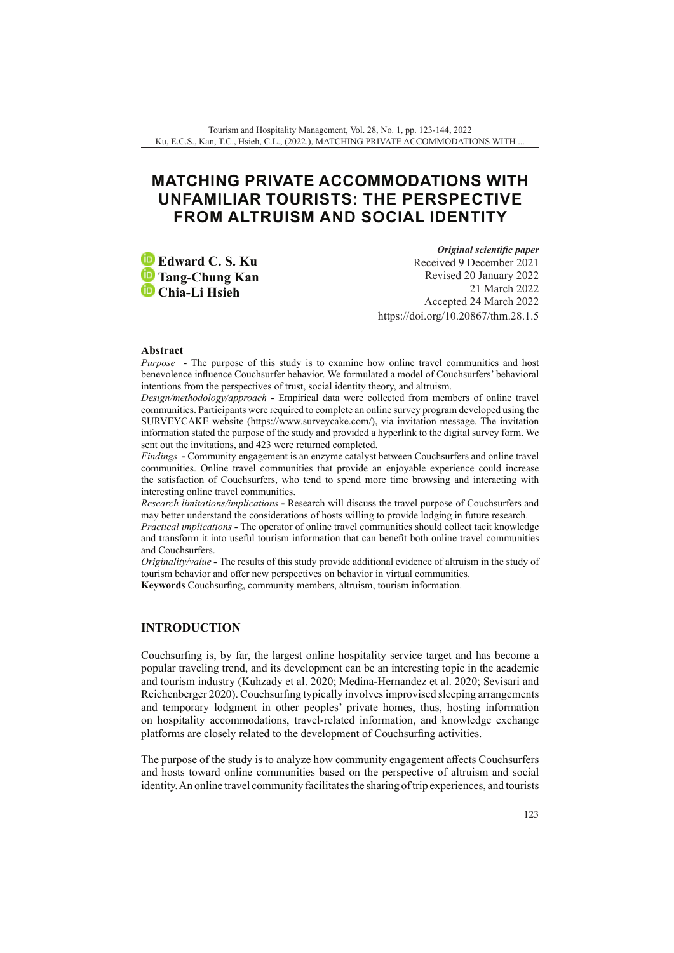# **MATCHING PRIVATE ACCOMMODATIONS WITH UNFAMILIAR TOURISTS: THE PERSPECTIVE FROM ALTRUISM AND SOCIAL IDENTITY**

**Edward C. S. Ku Tang-Chung Kan Chia-Li Hsieh**

*Original scientific paper* Received 9 December 2021 Revised 20 January 2022 21 March 2022 Accepted 24 March 2022 <https://doi.org/10.20867/thm.28.1.5>

### **Abstract**

*Purpose* **-** The purpose of this study is to examine how online travel communities and host benevolence influence Couchsurfer behavior. We formulated a model of Couchsurfers' behavioral intentions from the perspectives of trust, social identity theory, and altruism.

*Design/methodology/approach* **-** Empirical data were collected from members of online travel communities. Participants were required to complete an online survey program developed using the SURVEYCAKE website (https://www.surveycake.com/), via invitation message. The invitation information stated the purpose of the study and provided a hyperlink to the digital survey form. We sent out the invitations, and 423 were returned completed.

*Findings* **-** Community engagement is an enzyme catalyst between Couchsurfers and online travel communities. Online travel communities that provide an enjoyable experience could increase the satisfaction of Couchsurfers, who tend to spend more time browsing and interacting with interesting online travel communities.

*Research limitations/implications* **-** Research will discuss the travel purpose of Couchsurfers and may better understand the considerations of hosts willing to provide lodging in future research.

*Practical implications* **-** The operator of online travel communities should collect tacit knowledge and transform it into useful tourism information that can benefit both online travel communities and Couchsurfers.

*Originality/value* **-** The results of this study provide additional evidence of altruism in the study of tourism behavior and offer new perspectives on behavior in virtual communities.

**Keywords** Couchsurfing, community members, altruism, tourism information.

# **INTRODUCTION**

Couchsurfing is, by far, the largest online hospitality service target and has become a popular traveling trend, and its development can be an interesting topic in the academic and tourism industry (Kuhzady et al. 2020; Medina-Hernandez et al. 2020; Sevisari and Reichenberger 2020). Couchsurfing typically involves improvised sleeping arrangements and temporary lodgment in other peoples' private homes, thus, hosting information on hospitality accommodations, travel-related information, and knowledge exchange platforms are closely related to the development of Couchsurfing activities.

The purpose of the study is to analyze how community engagement affects Couchsurfers and hosts toward online communities based on the perspective of altruism and social identity. An online travel community facilitates the sharing of trip experiences, and tourists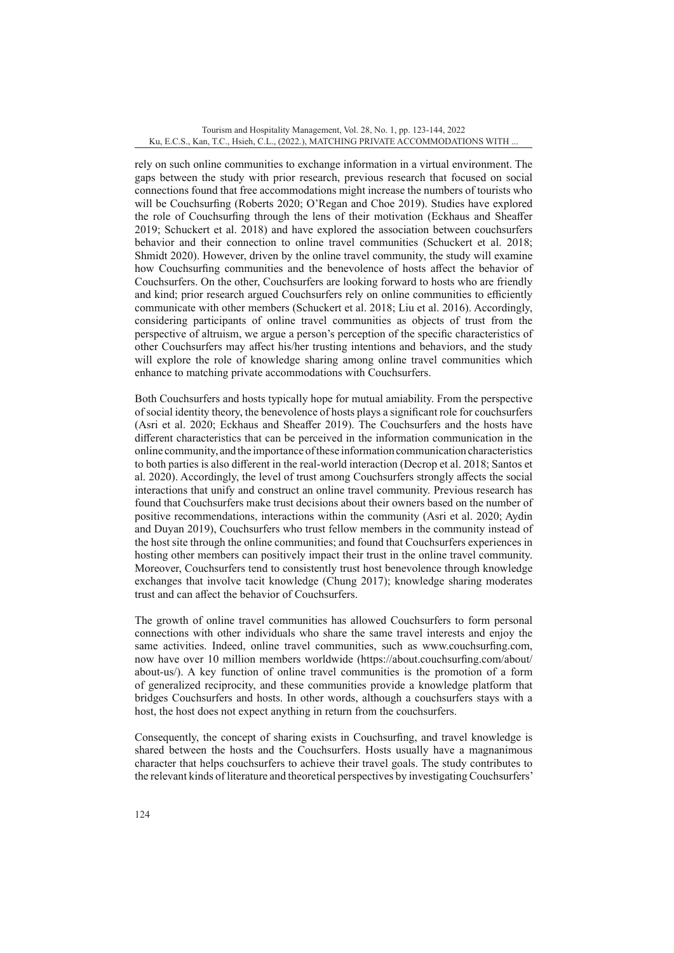rely on such online communities to exchange information in a virtual environment. The gaps between the study with prior research, previous research that focused on social connections found that free accommodations might increase the numbers of tourists who will be Couchsurfing (Roberts 2020; O'Regan and Choe 2019). Studies have explored the role of Couchsurfing through the lens of their motivation (Eckhaus and Sheaffer 2019; Schuckert et al. 2018) and have explored the association between couchsurfers behavior and their connection to online travel communities (Schuckert et al. 2018; Shmidt 2020). However, driven by the online travel community, the study will examine how Couchsurfing communities and the benevolence of hosts affect the behavior of Couchsurfers. On the other, Couchsurfers are looking forward to hosts who are friendly and kind; prior research argued Couchsurfers rely on online communities to efficiently communicate with other members (Schuckert et al. 2018; Liu et al. 2016). Accordingly, considering participants of online travel communities as objects of trust from the perspective of altruism, we argue a person's perception of the specific characteristics of other Couchsurfers may affect his/her trusting intentions and behaviors, and the study will explore the role of knowledge sharing among online travel communities which enhance to matching private accommodations with Couchsurfers.

Both Couchsurfers and hosts typically hope for mutual amiability. From the perspective of social identity theory, the benevolence of hosts plays a significant role for couchsurfers (Asri et al. 2020; Eckhaus and Sheaffer 2019). The Couchsurfers and the hosts have different characteristics that can be perceived in the information communication in the online community, and the importance of these information communication characteristics to both parties is also different in the real-world interaction (Decrop et al. 2018; Santos et al. 2020). Accordingly, the level of trust among Couchsurfers strongly affects the social interactions that unify and construct an online travel community. Previous research has found that Couchsurfers make trust decisions about their owners based on the number of positive recommendations, interactions within the community (Asri et al. 2020; Aydin and Duyan 2019), Couchsurfers who trust fellow members in the community instead of the host site through the online communities; and found that Couchsurfers experiences in hosting other members can positively impact their trust in the online travel community. Moreover, Couchsurfers tend to consistently trust host benevolence through knowledge exchanges that involve tacit knowledge (Chung 2017); knowledge sharing moderates trust and can affect the behavior of Couchsurfers.

The growth of online travel communities has allowed Couchsurfers to form personal connections with other individuals who share the same travel interests and enjoy the same activities. Indeed, online travel communities, such as www.couchsurfing.com, now have over 10 million members worldwide (https://about.couchsurfing.com/about/ about-us/). A key function of online travel communities is the promotion of a form of generalized reciprocity, and these communities provide a knowledge platform that bridges Couchsurfers and hosts. In other words, although a couchsurfers stays with a host, the host does not expect anything in return from the couchsurfers.

Consequently, the concept of sharing exists in Couchsurfing, and travel knowledge is shared between the hosts and the Couchsurfers. Hosts usually have a magnanimous character that helps couchsurfers to achieve their travel goals. The study contributes to the relevant kinds of literature and theoretical perspectives by investigating Couchsurfers'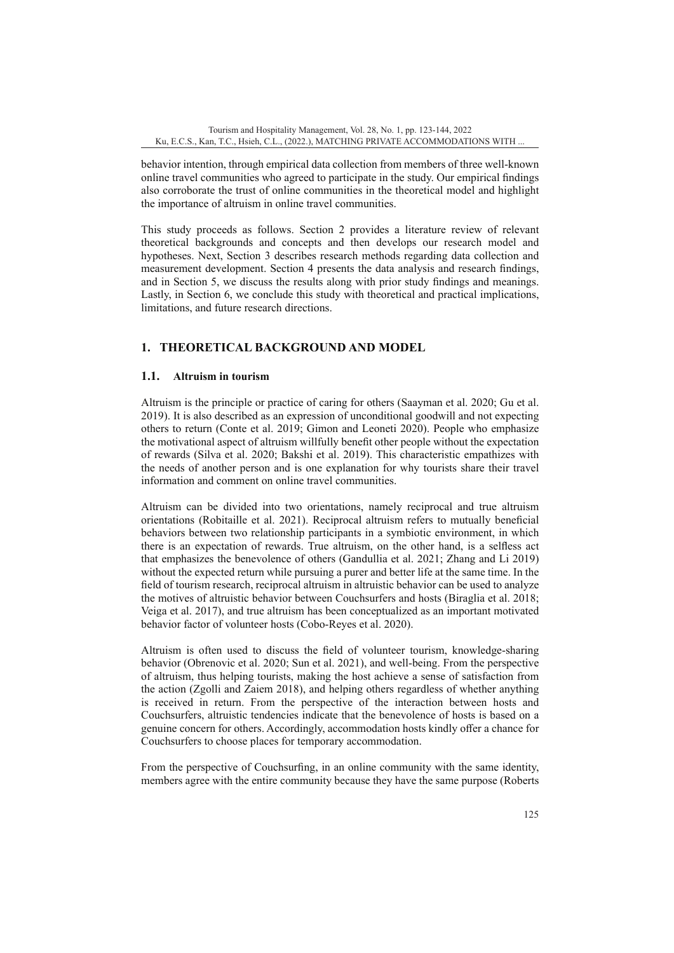behavior intention, through empirical data collection from members of three well-known online travel communities who agreed to participate in the study. Our empirical findings also corroborate the trust of online communities in the theoretical model and highlight the importance of altruism in online travel communities.

This study proceeds as follows. Section 2 provides a literature review of relevant theoretical backgrounds and concepts and then develops our research model and hypotheses. Next, Section 3 describes research methods regarding data collection and measurement development. Section 4 presents the data analysis and research findings, and in Section 5, we discuss the results along with prior study findings and meanings. Lastly, in Section 6, we conclude this study with theoretical and practical implications, limitations, and future research directions.

# **1. THEORETICAL BACKGROUND AND MODEL**

# **1.1. Altruism in tourism**

Altruism is the principle or practice of caring for others (Saayman et al. 2020; Gu et al. 2019). It is also described as an expression of unconditional goodwill and not expecting others to return (Conte et al. 2019; Gimon and Leoneti 2020). People who emphasize the motivational aspect of altruism willfully benefit other people without the expectation of rewards (Silva et al. 2020; Bakshi et al. 2019). This characteristic empathizes with the needs of another person and is one explanation for why tourists share their travel information and comment on online travel communities.

Altruism can be divided into two orientations, namely reciprocal and true altruism orientations (Robitaille et al. 2021). Reciprocal altruism refers to mutually beneficial behaviors between two relationship participants in a symbiotic environment, in which there is an expectation of rewards. True altruism, on the other hand, is a selfless act that emphasizes the benevolence of others (Gandullia et al. 2021; Zhang and Li 2019) without the expected return while pursuing a purer and better life at the same time. In the field of tourism research, reciprocal altruism in altruistic behavior can be used to analyze the motives of altruistic behavior between Couchsurfers and hosts (Biraglia et al. 2018; Veiga et al. 2017), and true altruism has been conceptualized as an important motivated behavior factor of volunteer hosts (Cobo-Reyes et al. 2020).

Altruism is often used to discuss the field of volunteer tourism, knowledge-sharing behavior (Obrenovic et al. 2020; Sun et al. 2021), and well-being. From the perspective of altruism, thus helping tourists, making the host achieve a sense of satisfaction from the action (Zgolli and Zaiem 2018), and helping others regardless of whether anything is received in return. From the perspective of the interaction between hosts and Couchsurfers, altruistic tendencies indicate that the benevolence of hosts is based on a genuine concern for others. Accordingly, accommodation hosts kindly offer a chance for Couchsurfers to choose places for temporary accommodation.

From the perspective of Couchsurfing, in an online community with the same identity, members agree with the entire community because they have the same purpose (Roberts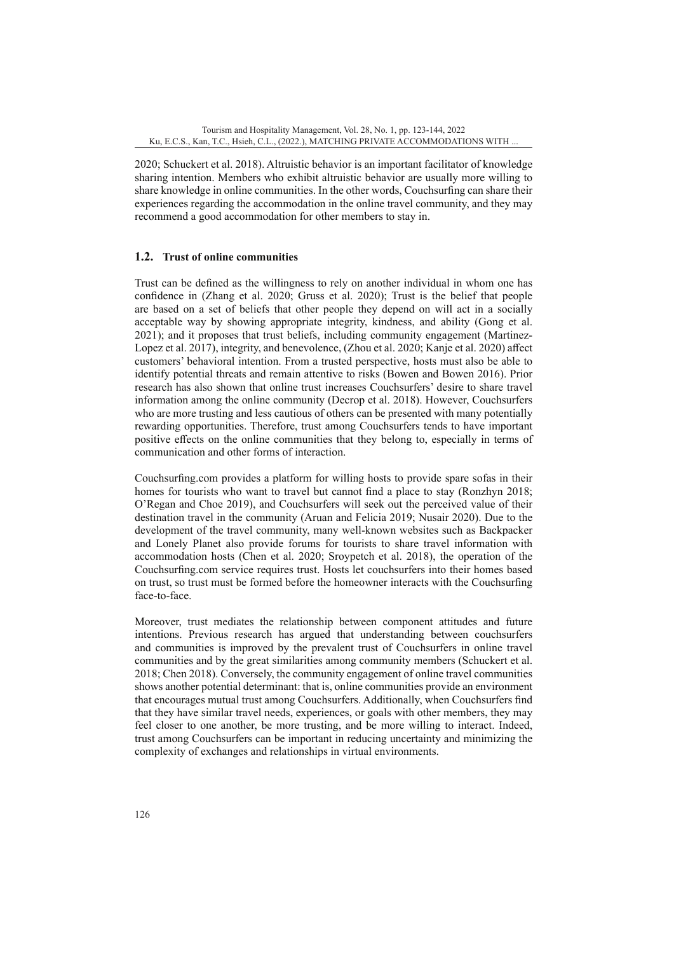2020; Schuckert et al. 2018). Altruistic behavior is an important facilitator of knowledge sharing intention. Members who exhibit altruistic behavior are usually more willing to share knowledge in online communities. In the other words, Couchsurfing can share their experiences regarding the accommodation in the online travel community, and they may recommend a good accommodation for other members to stay in.

## **1.2. Trust of online communities**

Trust can be defined as the willingness to rely on another individual in whom one has confidence in (Zhang et al. 2020; Gruss et al. 2020); Trust is the belief that people are based on a set of beliefs that other people they depend on will act in a socially acceptable way by showing appropriate integrity, kindness, and ability (Gong et al. 2021); and it proposes that trust beliefs, including community engagement (Martinez-Lopez et al. 2017), integrity, and benevolence, (Zhou et al. 2020; Kanje et al. 2020) affect customers' behavioral intention. From a trusted perspective, hosts must also be able to identify potential threats and remain attentive to risks (Bowen and Bowen 2016). Prior research has also shown that online trust increases Couchsurfers' desire to share travel information among the online community (Decrop et al. 2018). However, Couchsurfers who are more trusting and less cautious of others can be presented with many potentially rewarding opportunities. Therefore, trust among Couchsurfers tends to have important positive effects on the online communities that they belong to, especially in terms of communication and other forms of interaction.

Couchsurfing.com provides a platform for willing hosts to provide spare sofas in their homes for tourists who want to travel but cannot find a place to stay (Ronzhyn 2018; O'Regan and Choe 2019), and Couchsurfers will seek out the perceived value of their destination travel in the community (Aruan and Felicia 2019; Nusair 2020). Due to the development of the travel community, many well-known websites such as Backpacker and Lonely Planet also provide forums for tourists to share travel information with accommodation hosts (Chen et al. 2020; Sroypetch et al. 2018), the operation of the Couchsurfing.com service requires trust. Hosts let couchsurfers into their homes based on trust, so trust must be formed before the homeowner interacts with the Couchsurfing face-to-face.

Moreover, trust mediates the relationship between component attitudes and future intentions. Previous research has argued that understanding between couchsurfers and communities is improved by the prevalent trust of Couchsurfers in online travel communities and by the great similarities among community members (Schuckert et al. 2018; Chen 2018). Conversely, the community engagement of online travel communities shows another potential determinant: that is, online communities provide an environment that encourages mutual trust among Couchsurfers. Additionally, when Couchsurfers find that they have similar travel needs, experiences, or goals with other members, they may feel closer to one another, be more trusting, and be more willing to interact. Indeed, trust among Couchsurfers can be important in reducing uncertainty and minimizing the complexity of exchanges and relationships in virtual environments.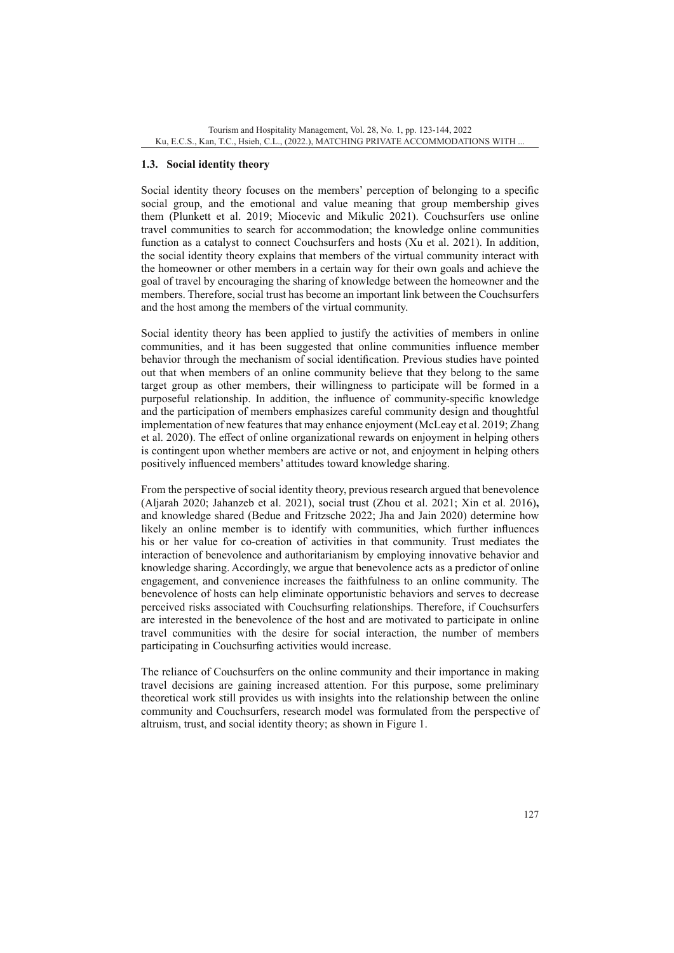# **1.3. Social identity theory**

Social identity theory focuses on the members' perception of belonging to a specific social group, and the emotional and value meaning that group membership gives them (Plunkett et al. 2019; Miocevic and Mikulic 2021). Couchsurfers use online travel communities to search for accommodation; the knowledge online communities function as a catalyst to connect Couchsurfers and hosts (Xu et al. 2021). In addition, the social identity theory explains that members of the virtual community interact with the homeowner or other members in a certain way for their own goals and achieve the goal of travel by encouraging the sharing of knowledge between the homeowner and the members. Therefore, social trust has become an important link between the Couchsurfers and the host among the members of the virtual community.

Social identity theory has been applied to justify the activities of members in online communities, and it has been suggested that online communities influence member behavior through the mechanism of social identification. Previous studies have pointed out that when members of an online community believe that they belong to the same target group as other members, their willingness to participate will be formed in a purposeful relationship. In addition, the influence of community-specific knowledge and the participation of members emphasizes careful community design and thoughtful implementation of new features that may enhance enjoyment (McLeay et al. 2019; Zhang et al. 2020). The effect of online organizational rewards on enjoyment in helping others is contingent upon whether members are active or not, and enjoyment in helping others positively influenced members' attitudes toward knowledge sharing.

From the perspective of social identity theory, previous research argued that benevolence (Aljarah 2020; Jahanzeb et al. 2021), social trust (Zhou et al. 2021; Xin et al. 2016)**,**  and knowledge shared (Bedue and Fritzsche 2022; Jha and Jain 2020) determine how likely an online member is to identify with communities, which further influences his or her value for co-creation of activities in that community. Trust mediates the interaction of benevolence and authoritarianism by employing innovative behavior and knowledge sharing. Accordingly, we argue that benevolence acts as a predictor of online engagement, and convenience increases the faithfulness to an online community. The benevolence of hosts can help eliminate opportunistic behaviors and serves to decrease perceived risks associated with Couchsurfing relationships. Therefore, if Couchsurfers are interested in the benevolence of the host and are motivated to participate in online travel communities with the desire for social interaction, the number of members participating in Couchsurfing activities would increase.

The reliance of Couchsurfers on the online community and their importance in making travel decisions are gaining increased attention. For this purpose, some preliminary theoretical work still provides us with insights into the relationship between the online community and Couchsurfers, research model was formulated from the perspective of altruism, trust, and social identity theory; as shown in Figure 1.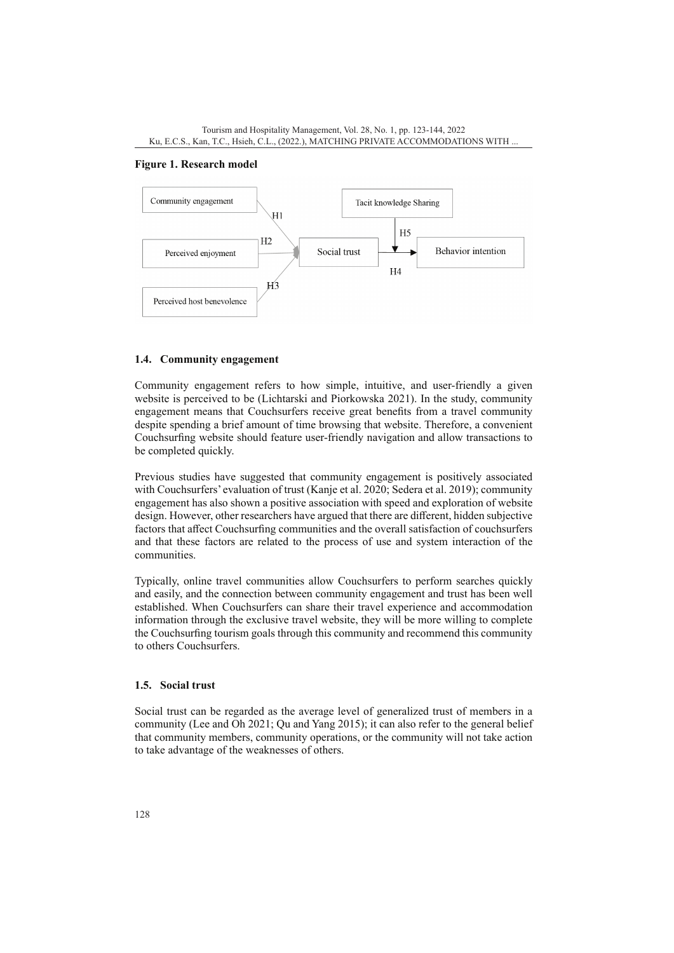

#### **Figure 1. Research model**



### **1.4. Community engagement**

Community engagement refers to how simple, intuitive, and user-friendly a given website is perceived to be (Lichtarski and Piorkowska 2021). In the study, community engagement means that Couchsurfers receive great benefits from a travel community despite spending a brief amount of time browsing that website. Therefore, a convenient Couchsurfing website should feature user-friendly navigation and allow transactions to be completed quickly.

Previous studies have suggested that community engagement is positively associated with Couchsurfers' evaluation of trust (Kanje et al. 2020; Sedera et al. 2019); community engagement has also shown a positive association with speed and exploration of website design. However, other researchers have argued that there are different, hidden subjective factors that affect Couchsurfing communities and the overall satisfaction of couchsurfers and that these factors are related to the process of use and system interaction of the communities.

Typically, online travel communities allow Couchsurfers to perform searches quickly and easily, and the connection between community engagement and trust has been well established. When Couchsurfers can share their travel experience and accommodation information through the exclusive travel website, they will be more willing to complete the Couchsurfing tourism goals through this community and recommend this community to others Couchsurfers.

#### **1.5. Social trust**

Social trust can be regarded as the average level of generalized trust of members in a community (Lee and Oh 2021; Qu and Yang 2015); it can also refer to the general belief that community members, community operations, or the community will not take action to take advantage of the weaknesses of others.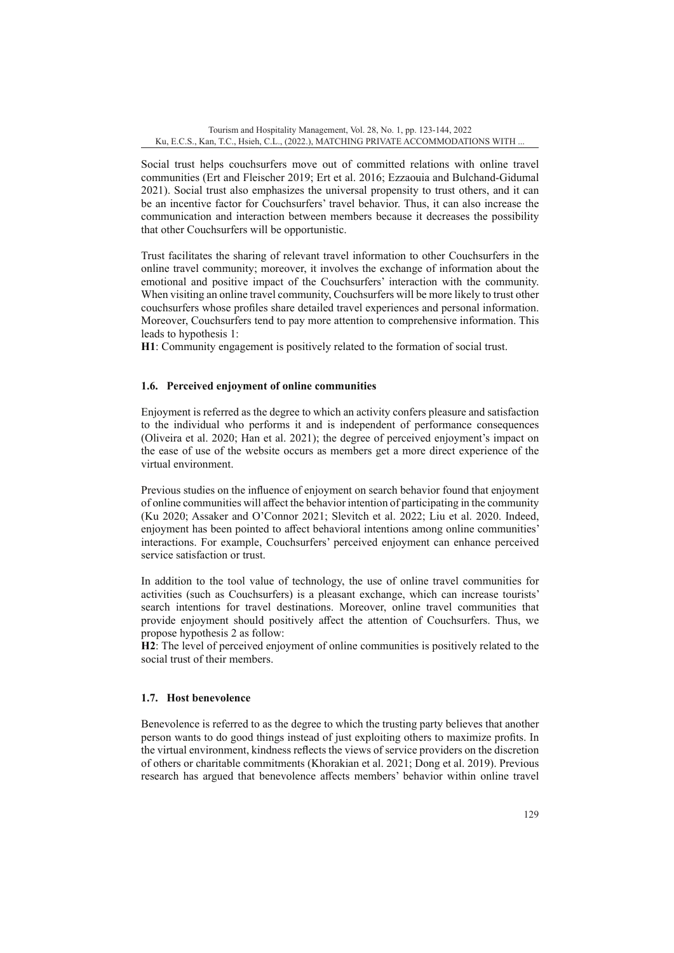Social trust helps couchsurfers move out of committed relations with online travel communities (Ert and Fleischer 2019; Ert et al. 2016; Ezzaouia and Bulchand-Gidumal 2021). Social trust also emphasizes the universal propensity to trust others, and it can be an incentive factor for Couchsurfers' travel behavior. Thus, it can also increase the communication and interaction between members because it decreases the possibility that other Couchsurfers will be opportunistic.

Trust facilitates the sharing of relevant travel information to other Couchsurfers in the online travel community; moreover, it involves the exchange of information about the emotional and positive impact of the Couchsurfers' interaction with the community. When visiting an online travel community, Couchsurfers will be more likely to trust other couchsurfers whose profiles share detailed travel experiences and personal information. Moreover, Couchsurfers tend to pay more attention to comprehensive information. This leads to hypothesis 1:

**H1**: Community engagement is positively related to the formation of social trust.

## **1.6. Perceived enjoyment of online communities**

Enjoyment is referred as the degree to which an activity confers pleasure and satisfaction to the individual who performs it and is independent of performance consequences (Oliveira et al. 2020; Han et al. 2021); the degree of perceived enjoyment's impact on the ease of use of the website occurs as members get a more direct experience of the virtual environment.

Previous studies on the influence of enjoyment on search behavior found that enjoyment of online communities will affect the behavior intention of participating in the community (Ku 2020; Assaker and O'Connor 2021; Slevitch et al. 2022; Liu et al. 2020. Indeed, enjoyment has been pointed to affect behavioral intentions among online communities' interactions. For example, Couchsurfers' perceived enjoyment can enhance perceived service satisfaction or trust.

In addition to the tool value of technology, the use of online travel communities for activities (such as Couchsurfers) is a pleasant exchange, which can increase tourists' search intentions for travel destinations. Moreover, online travel communities that provide enjoyment should positively affect the attention of Couchsurfers. Thus, we propose hypothesis 2 as follow:

**H2**: The level of perceived enjoyment of online communities is positively related to the social trust of their members.

## **1.7. Host benevolence**

Benevolence is referred to as the degree to which the trusting party believes that another person wants to do good things instead of just exploiting others to maximize profits. In the virtual environment, kindness reflects the views of service providers on the discretion of others or charitable commitments (Khorakian et al. 2021; Dong et al. 2019). Previous research has argued that benevolence affects members' behavior within online travel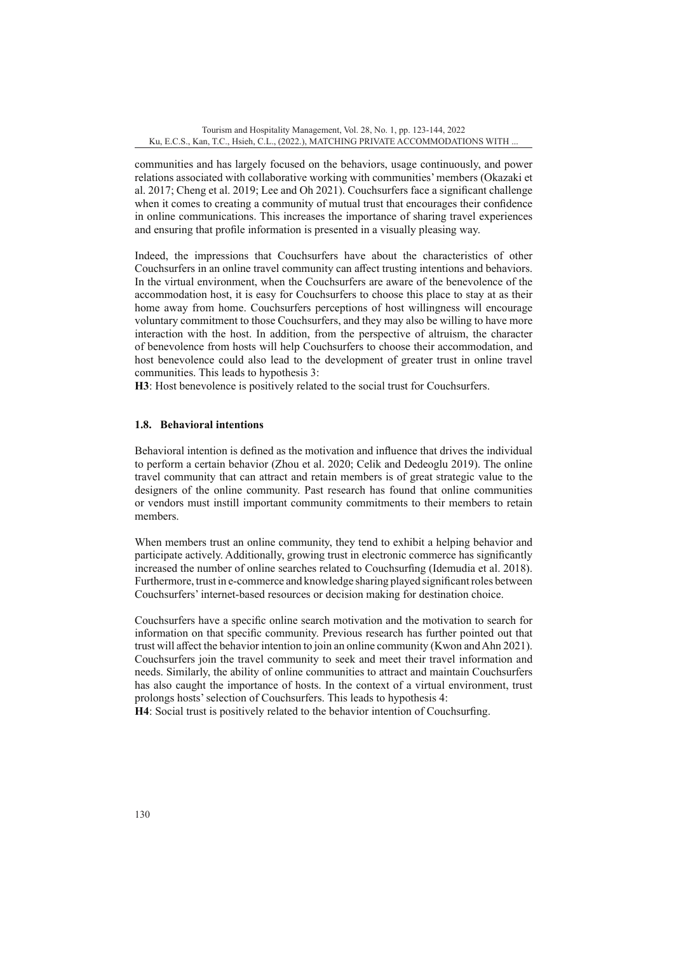communities and has largely focused on the behaviors, usage continuously, and power relations associated with collaborative working with communities' members (Okazaki et al. 2017; Cheng et al. 2019; Lee and Oh 2021). Couchsurfers face a significant challenge when it comes to creating a community of mutual trust that encourages their confidence in online communications. This increases the importance of sharing travel experiences and ensuring that profile information is presented in a visually pleasing way.

Indeed, the impressions that Couchsurfers have about the characteristics of other Couchsurfers in an online travel community can affect trusting intentions and behaviors. In the virtual environment, when the Couchsurfers are aware of the benevolence of the accommodation host, it is easy for Couchsurfers to choose this place to stay at as their home away from home. Couchsurfers perceptions of host willingness will encourage voluntary commitment to those Couchsurfers, and they may also be willing to have more interaction with the host. In addition, from the perspective of altruism, the character of benevolence from hosts will help Couchsurfers to choose their accommodation, and host benevolence could also lead to the development of greater trust in online travel communities. This leads to hypothesis 3:

**H3**: Host benevolence is positively related to the social trust for Couchsurfers.

## **1.8. Behavioral intentions**

Behavioral intention is defined as the motivation and influence that drives the individual to perform a certain behavior (Zhou et al. 2020; Celik and Dedeoglu 2019). The online travel community that can attract and retain members is of great strategic value to the designers of the online community. Past research has found that online communities or vendors must instill important community commitments to their members to retain members.

When members trust an online community, they tend to exhibit a helping behavior and participate actively. Additionally, growing trust in electronic commerce has significantly increased the number of online searches related to Couchsurfing (Idemudia et al. 2018). Furthermore, trust in e-commerce and knowledge sharing played significant roles between Couchsurfers' internet-based resources or decision making for destination choice.

Couchsurfers have a specific online search motivation and the motivation to search for information on that specific community. Previous research has further pointed out that trust will affect the behavior intention to join an online community (Kwon and Ahn 2021). Couchsurfers join the travel community to seek and meet their travel information and needs. Similarly, the ability of online communities to attract and maintain Couchsurfers has also caught the importance of hosts. In the context of a virtual environment, trust prolongs hosts' selection of Couchsurfers. This leads to hypothesis 4:

**H4**: Social trust is positively related to the behavior intention of Couchsurfing.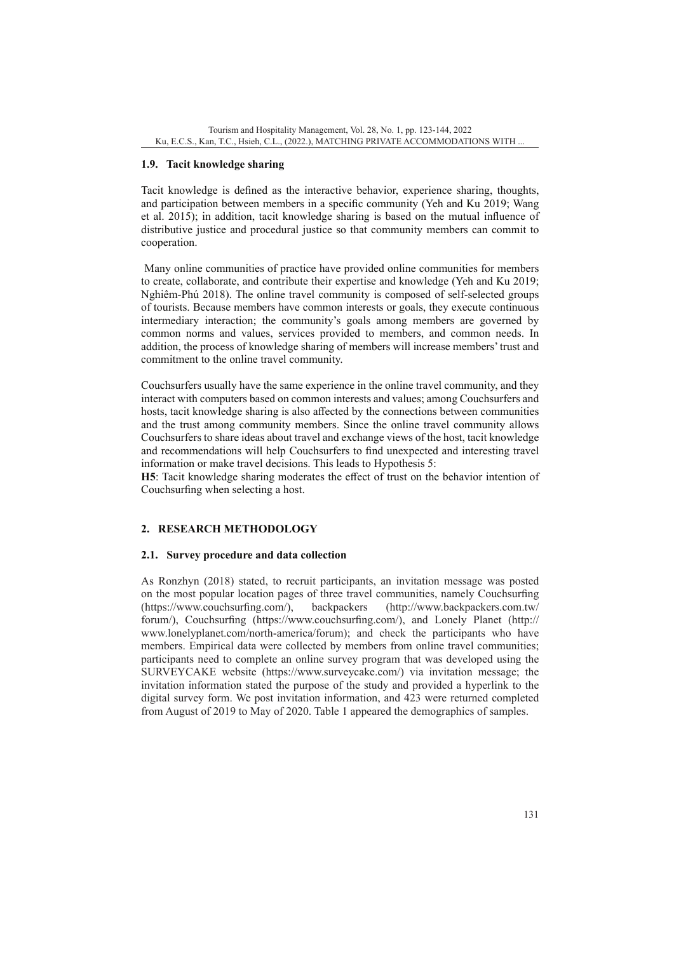# **1.9. Tacit knowledge sharing**

Tacit knowledge is defined as the interactive behavior, experience sharing, thoughts, and participation between members in a specific community (Yeh and Ku 2019; Wang et al. 2015); in addition, tacit knowledge sharing is based on the mutual influence of distributive justice and procedural justice so that community members can commit to cooperation.

 Many online communities of practice have provided online communities for members to create, collaborate, and contribute their expertise and knowledge (Yeh and Ku 2019; Nghiêm-Phú 2018). The online travel community is composed of self-selected groups of tourists. Because members have common interests or goals, they execute continuous intermediary interaction; the community's goals among members are governed by common norms and values, services provided to members, and common needs. In addition, the process of knowledge sharing of members will increase members' trust and commitment to the online travel community.

Couchsurfers usually have the same experience in the online travel community, and they interact with computers based on common interests and values; among Couchsurfers and hosts, tacit knowledge sharing is also affected by the connections between communities and the trust among community members. Since the online travel community allows Couchsurfers to share ideas about travel and exchange views of the host, tacit knowledge and recommendations will help Couchsurfers to find unexpected and interesting travel information or make travel decisions. This leads to Hypothesis 5:

**H5**: Tacit knowledge sharing moderates the effect of trust on the behavior intention of Couchsurfing when selecting a host.

# **2. RESEARCH METHODOLOGY**

### **2.1. Survey procedure and data collection**

As Ronzhyn (2018) stated, to recruit participants, an invitation message was posted on the most popular location pages of three travel communities, namely Couchsurfing (https://www.couchsurfing.com/), backpackers ([http://www.backpackers.com.tw/](http://www.backpackers.com.tw/forum/) [forum/](http://www.backpackers.com.tw/forum/)), Couchsurfing (<https://www.couchsurfing.com/>), and Lonely Planet [\(http://](http://www.lonelyplanet.com/north-america/forum) [www.lonelyplanet.com/north-america/forum](http://www.lonelyplanet.com/north-america/forum)); and check the participants who have members. Empirical data were collected by members from online travel communities; participants need to complete an online survey program that was developed using the SURVEYCAKE website ([https://www.surveycake.com/\)](https://www.surveycake.com/) via invitation message; the invitation information stated the purpose of the study and provided a hyperlink to the digital survey form. We post invitation information, and 423 were returned completed from August of 2019 to May of 2020. Table 1 appeared the demographics of samples.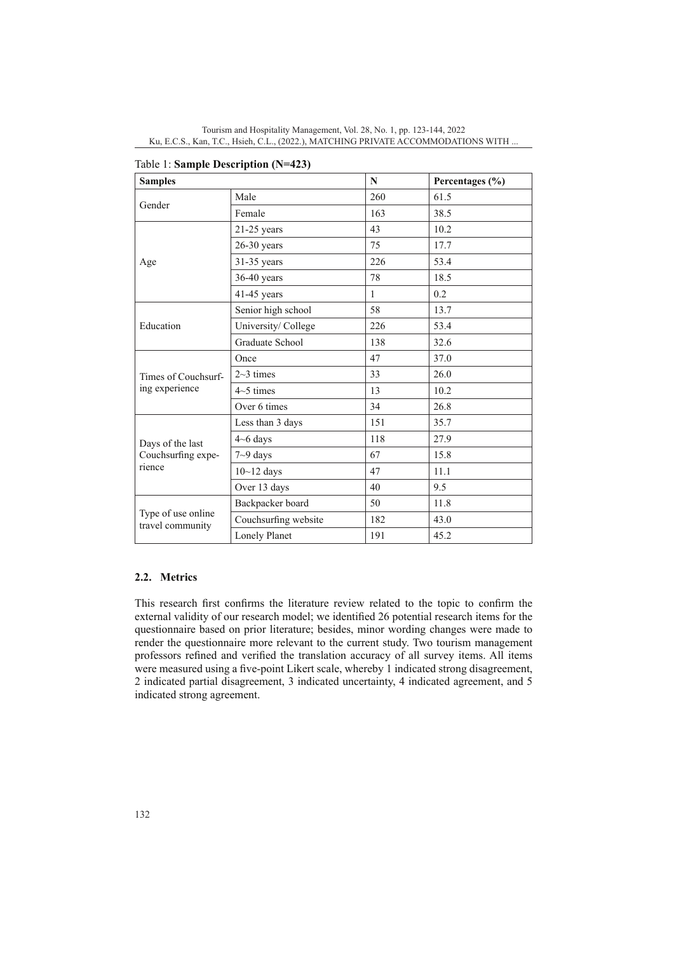| <b>Samples</b>                                   |                      | $\mathbf N$  | Percentages (%) |  |  |
|--------------------------------------------------|----------------------|--------------|-----------------|--|--|
|                                                  | Male                 | 260          | 61.5            |  |  |
| Gender                                           | Female               | 163          | 38.5            |  |  |
|                                                  | $21-25$ years        | 43           | 10.2            |  |  |
|                                                  | $26-30$ years        | 75           | 17.7            |  |  |
| Age                                              | 31-35 years          | 226          | 53.4            |  |  |
|                                                  | $36-40$ years        | 78           | 18.5            |  |  |
|                                                  | 41-45 years          | $\mathbf{1}$ | 0.2             |  |  |
|                                                  | Senior high school   | 58           | 13.7            |  |  |
| Education                                        | University/ College  | 226          | 53.4            |  |  |
|                                                  | Graduate School      | 138          | 32.6            |  |  |
|                                                  | Once                 | 47           | 37.0            |  |  |
| Times of Couchsurf-                              | $2~3$ times          | 33           | 26.0            |  |  |
| ing experience                                   | $4\sim$ 5 times      | 13           | 10.2            |  |  |
|                                                  | Over 6 times         | 34           | 26.8            |  |  |
|                                                  | Less than 3 days     | 151          | 35.7            |  |  |
| Days of the last<br>Couchsurfing expe-<br>rience | $4 - 6$ days         | 118          | 27.9            |  |  |
|                                                  | $7 - 9$ days         | 67           | 15.8            |  |  |
|                                                  | $10 - 12$ days       | 47           | 11.1            |  |  |
|                                                  | Over 13 days         | 40           | 9.5             |  |  |
|                                                  | Backpacker board     | 50           | 11.8            |  |  |
| Type of use online<br>travel community           | Couchsurfing website | 182          | 43.0            |  |  |
|                                                  | Lonely Planet        | 191          | 45.2            |  |  |

|  |  | Table 1: Sample Description (N=423) |
|--|--|-------------------------------------|
|  |  |                                     |

### **2.2. Metrics**

This research first confirms the literature review related to the topic to confirm the external validity of our research model; we identified 26 potential research items for the questionnaire based on prior literature; besides, minor wording changes were made to render the questionnaire more relevant to the current study. Two tourism management professors refined and verified the translation accuracy of all survey items. All items were measured using a five-point Likert scale, whereby 1 indicated strong disagreement, 2 indicated partial disagreement, 3 indicated uncertainty, 4 indicated agreement, and 5 indicated strong agreement.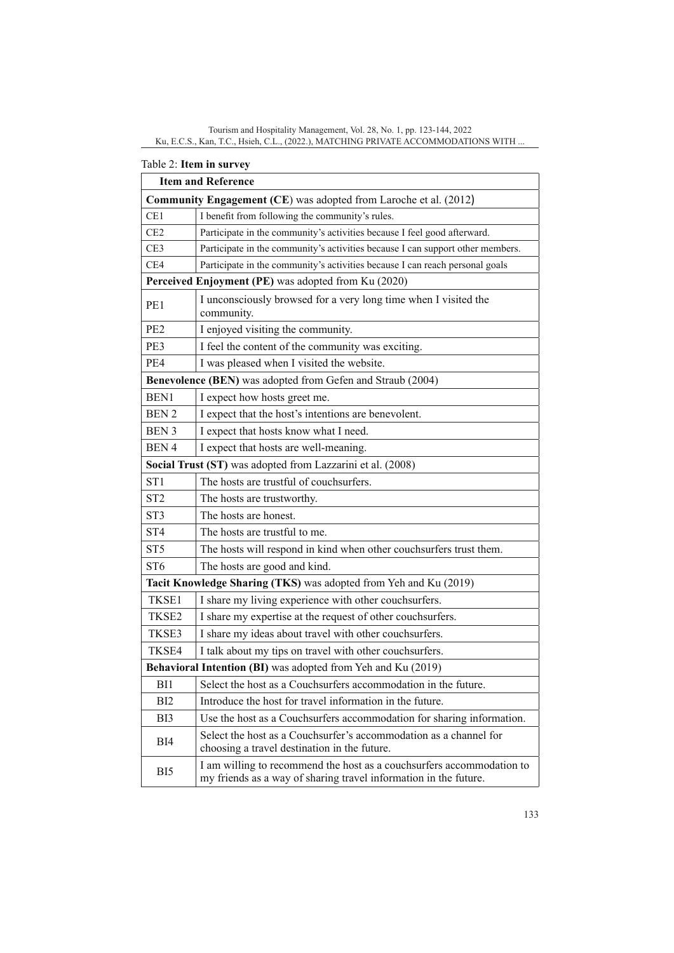|                                                                  | 1 анн 2. 11 <del>с</del> ні ні мі усу<br><b>Item and Reference</b>                                                                        |  |  |  |  |  |  |
|------------------------------------------------------------------|-------------------------------------------------------------------------------------------------------------------------------------------|--|--|--|--|--|--|
| Community Engagement (CE) was adopted from Laroche et al. (2012) |                                                                                                                                           |  |  |  |  |  |  |
| CE1                                                              | I benefit from following the community's rules.                                                                                           |  |  |  |  |  |  |
| CE2                                                              | Participate in the community's activities because I feel good afterward.                                                                  |  |  |  |  |  |  |
| CE <sub>3</sub>                                                  | Participate in the community's activities because I can support other members.                                                            |  |  |  |  |  |  |
| CE4                                                              | Participate in the community's activities because I can reach personal goals                                                              |  |  |  |  |  |  |
|                                                                  | Perceived Enjoyment (PE) was adopted from Ku (2020)                                                                                       |  |  |  |  |  |  |
| PE1                                                              | I unconsciously browsed for a very long time when I visited the<br>community.                                                             |  |  |  |  |  |  |
| PE <sub>2</sub>                                                  | I enjoyed visiting the community.                                                                                                         |  |  |  |  |  |  |
| PE3                                                              | I feel the content of the community was exciting.                                                                                         |  |  |  |  |  |  |
| PE4                                                              | I was pleased when I visited the website.                                                                                                 |  |  |  |  |  |  |
| Benevolence (BEN) was adopted from Gefen and Straub (2004)       |                                                                                                                                           |  |  |  |  |  |  |
| BEN1                                                             | I expect how hosts greet me.                                                                                                              |  |  |  |  |  |  |
| <b>BEN2</b>                                                      | I expect that the host's intentions are benevolent.                                                                                       |  |  |  |  |  |  |
| BEN 3                                                            | I expect that hosts know what I need.                                                                                                     |  |  |  |  |  |  |
| BEN <sub>4</sub>                                                 | I expect that hosts are well-meaning.                                                                                                     |  |  |  |  |  |  |
|                                                                  | Social Trust (ST) was adopted from Lazzarini et al. (2008)                                                                                |  |  |  |  |  |  |
| ST <sub>1</sub>                                                  | The hosts are trustful of couchsurfers.                                                                                                   |  |  |  |  |  |  |
| ST <sub>2</sub>                                                  | The hosts are trustworthy.                                                                                                                |  |  |  |  |  |  |
| ST <sub>3</sub>                                                  | The hosts are honest.                                                                                                                     |  |  |  |  |  |  |
| ST <sub>4</sub>                                                  | The hosts are trustful to me.                                                                                                             |  |  |  |  |  |  |
| ST <sub>5</sub>                                                  | The hosts will respond in kind when other couchsurfers trust them.                                                                        |  |  |  |  |  |  |
| ST <sub>6</sub>                                                  | The hosts are good and kind.                                                                                                              |  |  |  |  |  |  |
|                                                                  | Tacit Knowledge Sharing (TKS) was adopted from Yeh and Ku (2019)                                                                          |  |  |  |  |  |  |
| TKSE1                                                            | I share my living experience with other couchsurfers.                                                                                     |  |  |  |  |  |  |
| TKSE2                                                            | I share my expertise at the request of other couchsurfers.                                                                                |  |  |  |  |  |  |
| TKSE3                                                            | I share my ideas about travel with other couchsurfers.                                                                                    |  |  |  |  |  |  |
| TKSE4                                                            | I talk about my tips on travel with other couchsurfers.                                                                                   |  |  |  |  |  |  |
| Behavioral Intention (BI) was adopted from Yeh and Ku (2019)     |                                                                                                                                           |  |  |  |  |  |  |
| BI1                                                              | Select the host as a Couchsurfers accommodation in the future.                                                                            |  |  |  |  |  |  |
| BI <sub>2</sub>                                                  | Introduce the host for travel information in the future.                                                                                  |  |  |  |  |  |  |
| BI3                                                              | Use the host as a Couchsurfers accommodation for sharing information.                                                                     |  |  |  |  |  |  |
| BI4                                                              | Select the host as a Couchsurfer's accommodation as a channel for<br>choosing a travel destination in the future.                         |  |  |  |  |  |  |
| BI5                                                              | I am willing to recommend the host as a couchsurfers accommodation to<br>my friends as a way of sharing travel information in the future. |  |  |  |  |  |  |

# Table 2: **Item in survey**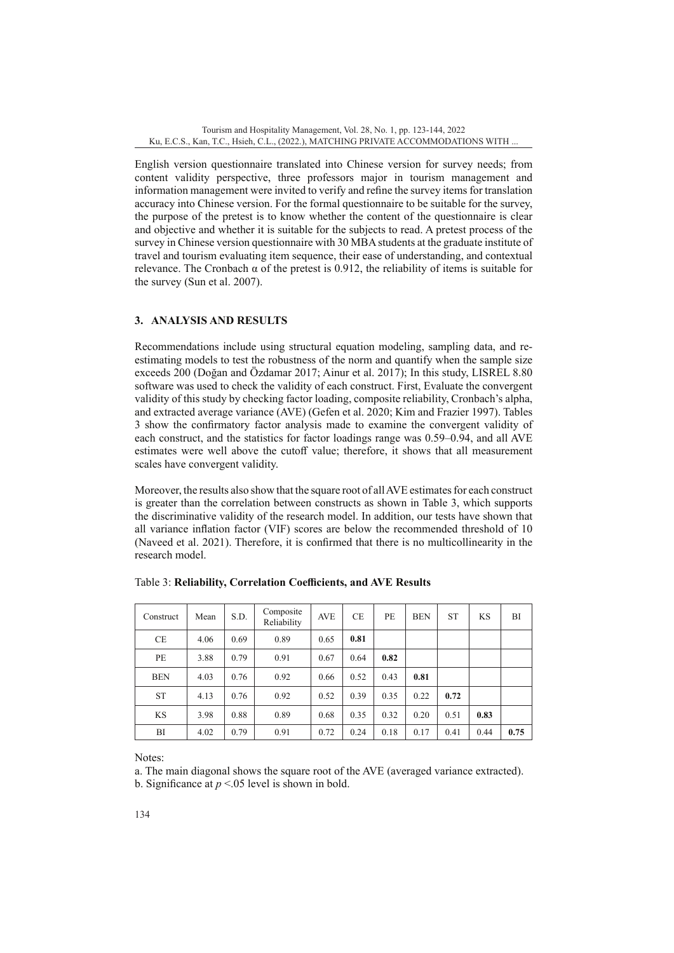English version questionnaire translated into Chinese version for survey needs; from content validity perspective, three professors major in tourism management and information management were invited to verify and refine the survey items for translation accuracy into Chinese version. For the formal questionnaire to be suitable for the survey, the purpose of the pretest is to know whether the content of the questionnaire is clear and objective and whether it is suitable for the subjects to read. A pretest process of the survey in Chinese version questionnaire with 30 MBA students at the graduate institute of travel and tourism evaluating item sequence, their ease of understanding, and contextual relevance. The Cronbach α of the pretest is 0.912, the reliability of items is suitable for the survey (Sun et al. 2007).

# **3. ANALYSIS AND RESULTS**

Recommendations include using structural equation modeling, sampling data, and reestimating models to test the robustness of the norm and quantify when the sample size exceeds 200 (Doğan and Özdamar 2017; Ainur et al. 2017); In this study, LISREL 8.80 software was used to check the validity of each construct. First, Evaluate the convergent validity of this study by checking factor loading, composite reliability, Cronbach's alpha, and extracted average variance (AVE) (Gefen et al. 2020; Kim and Frazier 1997). Tables 3 show the confirmatory factor analysis made to examine the convergent validity of each construct, and the statistics for factor loadings range was 0.59–0.94, and all AVE estimates were well above the cutoff value; therefore, it shows that all measurement scales have convergent validity.

Moreover, the results also show that the square root of all AVE estimates for each construct is greater than the correlation between constructs as shown in Table 3, which supports the discriminative validity of the research model. In addition, our tests have shown that all variance inflation factor (VIF) scores are below the recommended threshold of 10 (Naveed et al. 2021). Therefore, it is confirmed that there is no multicollinearity in the research model.

| Construct  | Mean | S.D. | Composite<br>Reliability | <b>AVE</b> | <b>CE</b> | PE   | <b>BEN</b> | <b>ST</b> | <b>KS</b> | BI   |
|------------|------|------|--------------------------|------------|-----------|------|------------|-----------|-----------|------|
| <b>CE</b>  | 4.06 | 0.69 | 0.89                     | 0.65       | 0.81      |      |            |           |           |      |
| PE         | 3.88 | 0.79 | 0.91                     | 0.67       | 0.64      | 0.82 |            |           |           |      |
| <b>BEN</b> | 4.03 | 0.76 | 0.92                     | 0.66       | 0.52      | 0.43 | 0.81       |           |           |      |
| <b>ST</b>  | 4.13 | 0.76 | 0.92                     | 0.52       | 0.39      | 0.35 | 0.22       | 0.72      |           |      |
| <b>KS</b>  | 3.98 | 0.88 | 0.89                     | 0.68       | 0.35      | 0.32 | 0.20       | 0.51      | 0.83      |      |
| BI         | 4.02 | 0.79 | 0.91                     | 0.72       | 0.24      | 0.18 | 0.17       | 0.41      | 0.44      | 0.75 |

Table 3: **Reliability, Correlation Coefficients, and AVE Results**

Notes:

a. The main diagonal shows the square root of the AVE (averaged variance extracted).

b. Significance at  $p < 0.05$  level is shown in bold.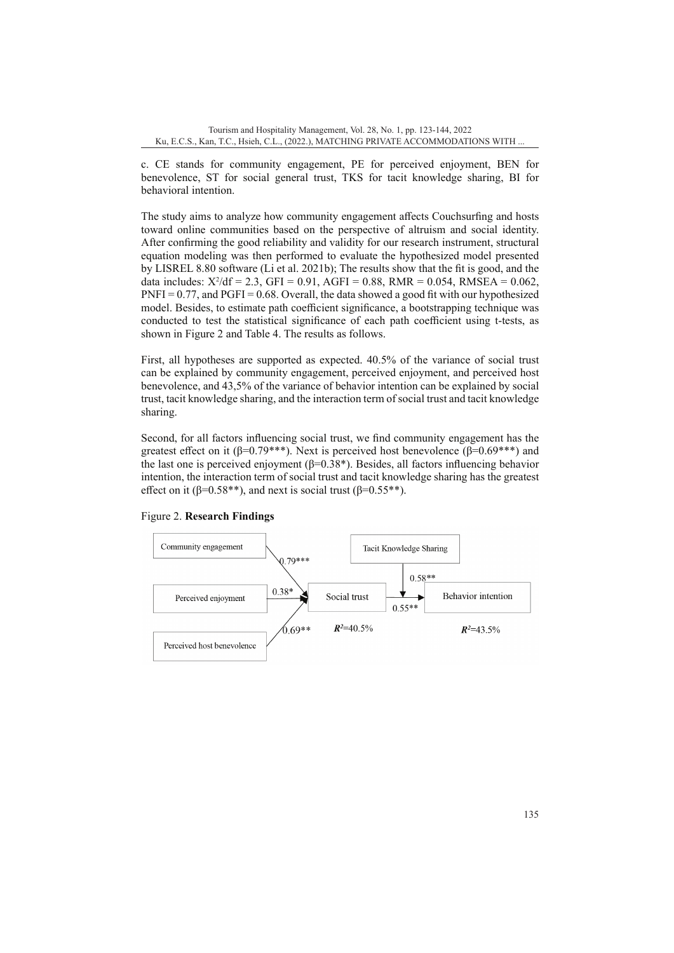c. CE stands for community engagement, PE for perceived enjoyment, BEN for benevolence, ST for social general trust, TKS for tacit knowledge sharing, BI for behavioral intention.

The study aims to analyze how community engagement affects Couchsurfing and hosts toward online communities based on the perspective of altruism and social identity. After confirming the good reliability and validity for our research instrument, structural equation modeling was then performed to evaluate the hypothesized model presented by LISREL 8.80 software (Li et al. 2021b); The results show that the fit is good, and the data includes:  $X^2/df = 2.3$ ,  $GFI = 0.91$ ,  $AGFI = 0.88$ ,  $RMR = 0.054$ ,  $RMSEA = 0.062$ ,  $PNFI = 0.77$ , and  $PGFI = 0.68$ . Overall, the data showed a good fit with our hypothesized model. Besides, to estimate path coefficient significance, a bootstrapping technique was conducted to test the statistical significance of each path coefficient using t-tests, as shown in Figure 2 and Table 4. The results as follows.

First, all hypotheses are supported as expected. 40.5% of the variance of social trust can be explained by community engagement, perceived enjoyment, and perceived host benevolence, and 43,5% of the variance of behavior intention can be explained by social trust, tacit knowledge sharing, and the interaction term of social trust and tacit knowledge sharing.

Second, for all factors influencing social trust, we find community engagement has the greatest effect on it ( $\beta$ =0.79\*\*\*). Next is perceived host benevolence ( $\beta$ =0.69\*\*\*) and the last one is perceived enjoyment ( $β=0.38*$ ). Besides, all factors influencing behavior intention, the interaction term of social trust and tacit knowledge sharing has the greatest effect on it ( $\beta$ =0.58<sup>\*\*</sup>), and next is social trust ( $\beta$ =0.55<sup>\*\*</sup>).



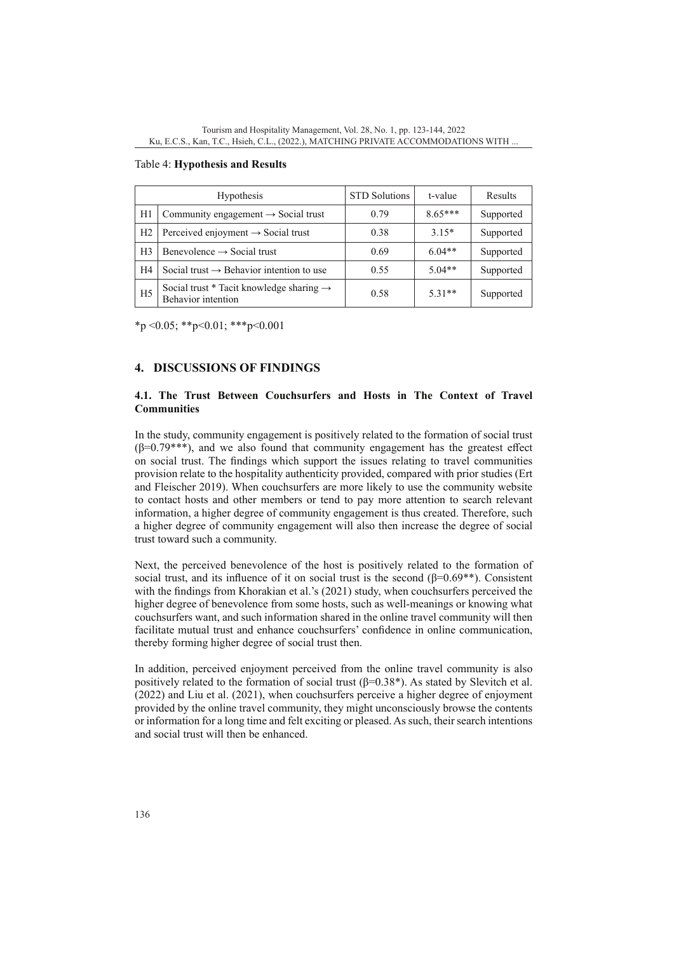|                | Hypothesis                                                                 | <b>STD</b> Solutions | t-value   | Results   |
|----------------|----------------------------------------------------------------------------|----------------------|-----------|-----------|
| H1             | Community engagement $\rightarrow$ Social trust                            | 0.79                 | $8.65***$ | Supported |
| H <sub>2</sub> | Perceived enjoyment $\rightarrow$ Social trust                             | 0.38                 | $3.15*$   | Supported |
| H <sub>3</sub> | Benevolence $\rightarrow$ Social trust                                     | 0.69                 | $6.04**$  | Supported |
| H <sub>4</sub> | Social trust $\rightarrow$ Behavior intention to use                       | 0.55                 | $5.04**$  | Supported |
| H <sub>5</sub> | Social trust * Tacit knowledge sharing $\rightarrow$<br>Behavior intention | 0.58                 | $5.31**$  | Supported |

#### Table 4: **Hypothesis and Results**

 $*_{p}$  < 0.05;  $*_{p}$  < 0.01;  $*_{p}$  < 0.001

# **4. DISCUSSIONS OF FINDINGS**

### **4.1. The Trust Between Couchsurfers and Hosts in The Context of Travel Communities**

In the study, community engagement is positively related to the formation of social trust  $(\beta=0.79***)$ , and we also found that community engagement has the greatest effect on social trust. The findings which support the issues relating to travel communities provision relate to the hospitality authenticity provided, compared with prior studies (Ert and Fleischer 2019). When couchsurfers are more likely to use the community website to contact hosts and other members or tend to pay more attention to search relevant information, a higher degree of community engagement is thus created. Therefore, such a higher degree of community engagement will also then increase the degree of social trust toward such a community.

Next, the perceived benevolence of the host is positively related to the formation of social trust, and its influence of it on social trust is the second  $(\beta=0.69^{**})$ . Consistent with the findings from Khorakian et al.'s (2021) study, when couchsurfers perceived the higher degree of benevolence from some hosts, such as well-meanings or knowing what couchsurfers want, and such information shared in the online travel community will then facilitate mutual trust and enhance couchsurfers' confidence in online communication, thereby forming higher degree of social trust then.

In addition, perceived enjoyment perceived from the online travel community is also positively related to the formation of social trust  $(\beta=0.38^*)$ . As stated by Slevitch et al. (2022) and Liu et al. (2021), when couchsurfers perceive a higher degree of enjoyment provided by the online travel community, they might unconsciously browse the contents or information for a long time and felt exciting or pleased. As such, their search intentions and social trust will then be enhanced.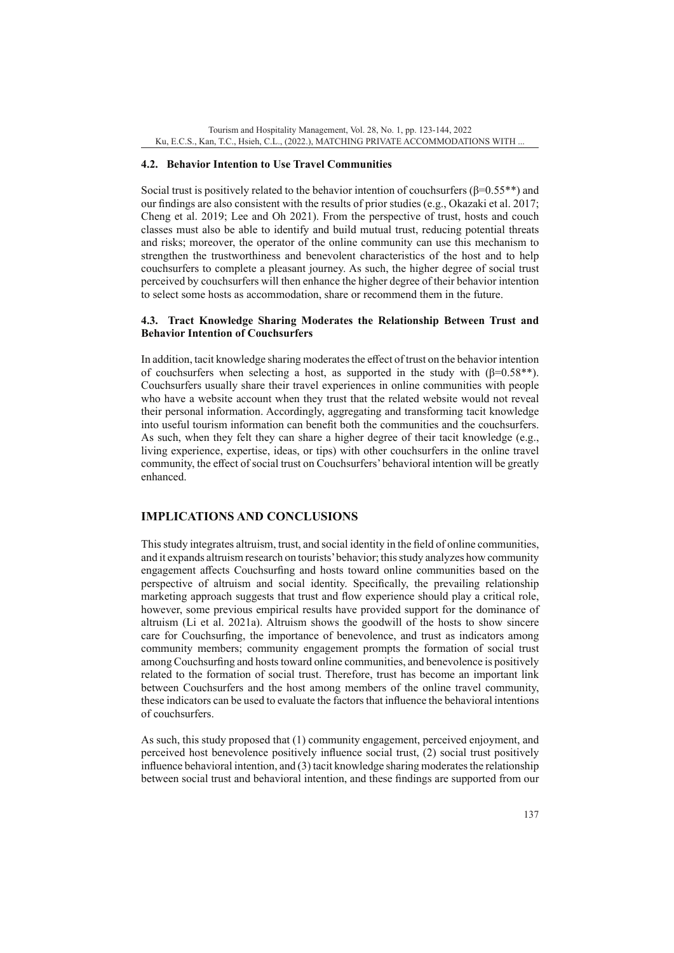### **4.2. Behavior Intention to Use Travel Communities**

Social trust is positively related to the behavior intention of couchsurfers (β=0.55\*\*) and our findings are also consistent with the results of prior studies (e.g., Okazaki et al. 2017; Cheng et al. 2019; Lee and Oh 2021). From the perspective of trust, hosts and couch classes must also be able to identify and build mutual trust, reducing potential threats and risks; moreover, the operator of the online community can use this mechanism to strengthen the trustworthiness and benevolent characteristics of the host and to help couchsurfers to complete a pleasant journey. As such, the higher degree of social trust perceived by couchsurfers will then enhance the higher degree of their behavior intention to select some hosts as accommodation, share or recommend them in the future.

### **4.3. Tract Knowledge Sharing Moderates the Relationship Between Trust and Behavior Intention of Couchsurfers**

In addition, tacit knowledge sharing moderates the effect of trust on the behavior intention of couchsurfers when selecting a host, as supported in the study with  $(\beta=0.58**)$ . Couchsurfers usually share their travel experiences in online communities with people who have a website account when they trust that the related website would not reveal their personal information. Accordingly, aggregating and transforming tacit knowledge into useful tourism information can benefit both the communities and the couchsurfers. As such, when they felt they can share a higher degree of their tacit knowledge (e.g., living experience, expertise, ideas, or tips) with other couchsurfers in the online travel community, the effect of social trust on Couchsurfers' behavioral intention will be greatly enhanced.

## **IMPLICATIONS AND CONCLUSIONS**

This study integrates altruism, trust, and social identity in the field of online communities, and it expands altruism research on tourists' behavior; this study analyzes how community engagement affects Couchsurfing and hosts toward online communities based on the perspective of altruism and social identity. Specifically, the prevailing relationship marketing approach suggests that trust and flow experience should play a critical role, however, some previous empirical results have provided support for the dominance of altruism (Li et al. 2021a). Altruism shows the goodwill of the hosts to show sincere care for Couchsurfing, the importance of benevolence, and trust as indicators among community members; community engagement prompts the formation of social trust among Couchsurfing and hosts toward online communities, and benevolence is positively related to the formation of social trust. Therefore, trust has become an important link between Couchsurfers and the host among members of the online travel community, these indicators can be used to evaluate the factors that influence the behavioral intentions of couchsurfers.

As such, this study proposed that (1) community engagement, perceived enjoyment, and perceived host benevolence positively influence social trust, (2) social trust positively influence behavioral intention, and (3) tacit knowledge sharing moderates the relationship between social trust and behavioral intention, and these findings are supported from our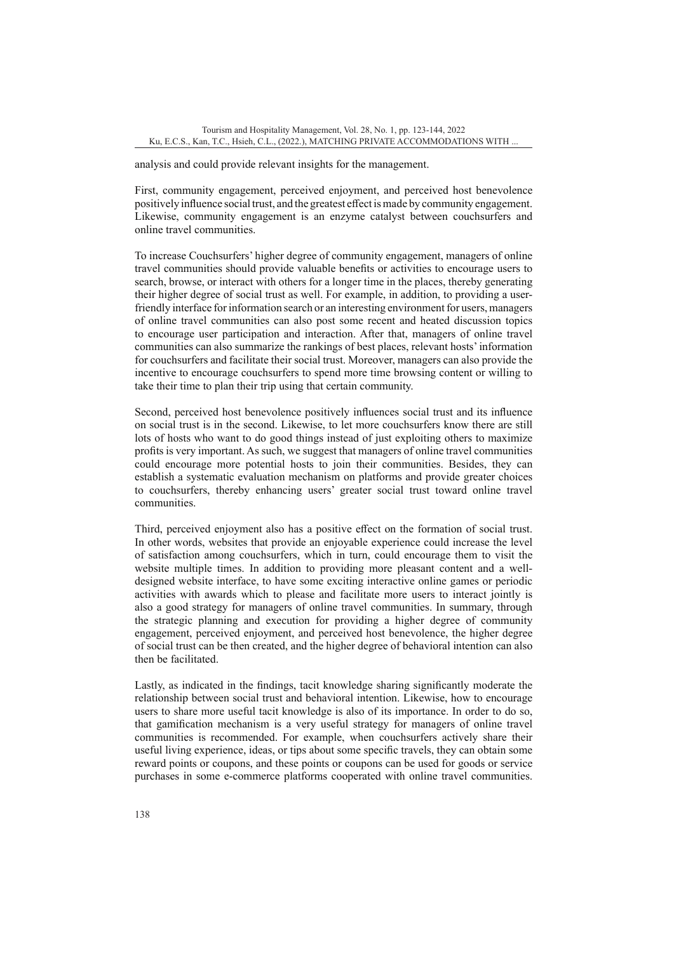analysis and could provide relevant insights for the management.

First, community engagement, perceived enjoyment, and perceived host benevolence positively influence social trust, and the greatest effect is made by community engagement. Likewise, community engagement is an enzyme catalyst between couchsurfers and online travel communities.

To increase Couchsurfers' higher degree of community engagement, managers of online travel communities should provide valuable benefits or activities to encourage users to search, browse, or interact with others for a longer time in the places, thereby generating their higher degree of social trust as well. For example, in addition, to providing a userfriendly interface for information search or an interesting environment for users, managers of online travel communities can also post some recent and heated discussion topics to encourage user participation and interaction. After that, managers of online travel communities can also summarize the rankings of best places, relevant hosts' information for couchsurfers and facilitate their social trust. Moreover, managers can also provide the incentive to encourage couchsurfers to spend more time browsing content or willing to take their time to plan their trip using that certain community.

Second, perceived host benevolence positively influences social trust and its influence on social trust is in the second. Likewise, to let more couchsurfers know there are still lots of hosts who want to do good things instead of just exploiting others to maximize profits is very important. As such, we suggest that managers of online travel communities could encourage more potential hosts to join their communities. Besides, they can establish a systematic evaluation mechanism on platforms and provide greater choices to couchsurfers, thereby enhancing users' greater social trust toward online travel communities.

Third, perceived enjoyment also has a positive effect on the formation of social trust. In other words, websites that provide an enjoyable experience could increase the level of satisfaction among couchsurfers, which in turn, could encourage them to visit the website multiple times. In addition to providing more pleasant content and a welldesigned website interface, to have some exciting interactive online games or periodic activities with awards which to please and facilitate more users to interact jointly is also a good strategy for managers of online travel communities. In summary, through the strategic planning and execution for providing a higher degree of community engagement, perceived enjoyment, and perceived host benevolence, the higher degree of social trust can be then created, and the higher degree of behavioral intention can also then be facilitated.

Lastly, as indicated in the findings, tacit knowledge sharing significantly moderate the relationship between social trust and behavioral intention. Likewise, how to encourage users to share more useful tacit knowledge is also of its importance. In order to do so, that gamification mechanism is a very useful strategy for managers of online travel communities is recommended. For example, when couchsurfers actively share their useful living experience, ideas, or tips about some specific travels, they can obtain some reward points or coupons, and these points or coupons can be used for goods or service purchases in some e-commerce platforms cooperated with online travel communities.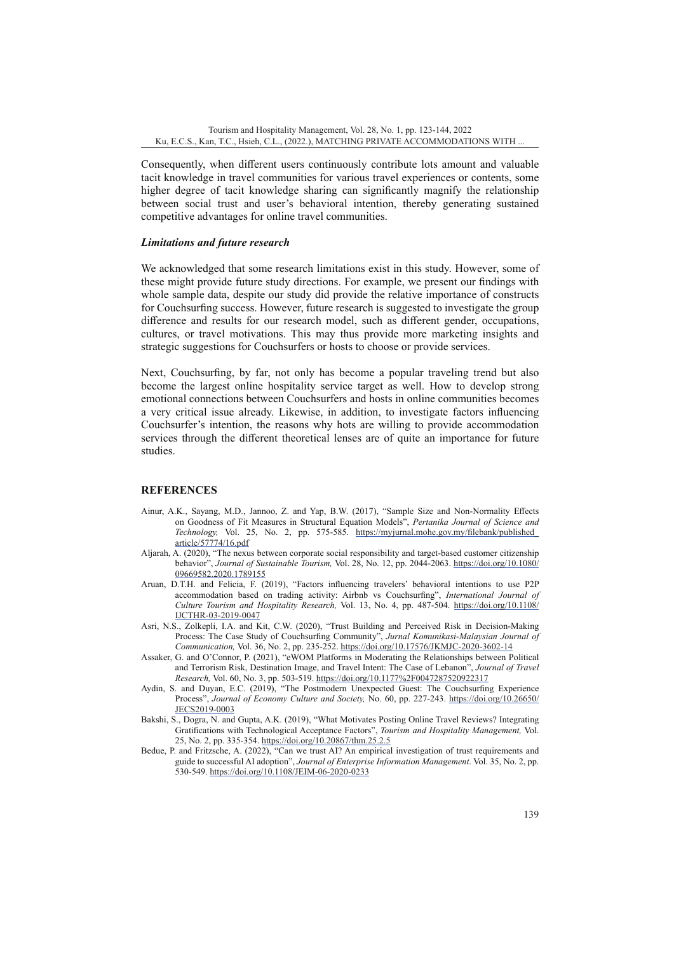Consequently, when different users continuously contribute lots amount and valuable tacit knowledge in travel communities for various travel experiences or contents, some higher degree of tacit knowledge sharing can significantly magnify the relationship between social trust and user's behavioral intention, thereby generating sustained competitive advantages for online travel communities.

### *Limitations and future research*

We acknowledged that some research limitations exist in this study. However, some of these might provide future study directions. For example, we present our findings with whole sample data, despite our study did provide the relative importance of constructs for Couchsurfing success. However, future research is suggested to investigate the group difference and results for our research model, such as different gender, occupations, cultures, or travel motivations. This may thus provide more marketing insights and strategic suggestions for Couchsurfers or hosts to choose or provide services.

Next, Couchsurfing, by far, not only has become a popular traveling trend but also become the largest online hospitality service target as well. How to develop strong emotional connections between Couchsurfers and hosts in online communities becomes a very critical issue already. Likewise, in addition, to investigate factors influencing Couchsurfer's intention, the reasons why hots are willing to provide accommodation services through the different theoretical lenses are of quite an importance for future studies.

### **REFERENCES**

- Ainur, A.K., Sayang, M.D., Jannoo, Z. and Yap, B.W. (2017), "Sample Size and Non-Normality Effects on Goodness of Fit Measures in Structural Equation Models", *Pertanika Journal of Science and Technology,* Vol. 25, No. 2, pp. 575-585. [https://myjurnal.mohe.gov.my/filebank/published\\_](https://myjurnal.mohe.gov.my/filebank/published_article/57774/16.pdf) [article/57774/16.pdf](https://myjurnal.mohe.gov.my/filebank/published_article/57774/16.pdf)
- Aljarah, A. (2020), "The nexus between corporate social responsibility and target-based customer citizenship behavior", *Journal of Sustainable Tourism,* Vol. 28, No. 12, pp. 2044-2063. [https://doi.org/10.1080/](https://doi.org/10.1080/09669582.2020.1789155) [09669582.2020.1789155](https://doi.org/10.1080/09669582.2020.1789155)
- Aruan, D.T.H. and Felicia, F. (2019), "Factors influencing travelers' behavioral intentions to use P2P accommodation based on trading activity: Airbnb vs Couchsurfing", *International Journal of Culture Tourism and Hospitality Research,* Vol. 13, No. 4, pp. 487-504. [https://doi.org/10.1108/](https://doi.org/10.1108/IJCTHR-03-2019-0047) [IJCTHR-03-2019-0047](https://doi.org/10.1108/IJCTHR-03-2019-0047)
- Asri, N.S., Zolkepli, I.A. and Kit, C.W. (2020), "Trust Building and Perceived Risk in Decision-Making Process: The Case Study of Couchsurfing Community", *Jurnal Komunikasi-Malaysian Journal of Communication,* Vol. 36, No. 2, pp. 235-252.<https://doi.org/10.17576/JKMJC-2020-3602-14>
- Assaker, G. and O'Connor, P. (2021), "eWOM Platforms in Moderating the Relationships between Political and Terrorism Risk, Destination Image, and Travel Intent: The Case of Lebanon", *Journal of Travel Research,* Vol. 60, No. 3, pp. 503-519.<https://doi.org/10.1177%2F0047287520922317>
- Aydin, S. and Duyan, E.C. (2019), "The Postmodern Unexpected Guest: The Couchsurfing Experience Process", *Journal of Economy Culture and Society,* No. 60, pp. 227-243. [https://doi.org/10.26650/](https://doi.org/10.26650/JECS2019-0003) [JECS2019-0003](https://doi.org/10.26650/JECS2019-0003)
- Bakshi, S., Dogra, N. and Gupta, A.K. (2019), "What Motivates Posting Online Travel Reviews? Integrating Gratifications with Technological Acceptance Factors", *Tourism and Hospitality Management,* Vol. 25, No. 2, pp. 335-354.<https://doi.org/10.20867/thm.25.2.5>
- Bedue, P. and Fritzsche, A. (2022), "Can we trust AI? An empirical investigation of trust requirements and guide to successful AI adoption", *Journal of Enterprise Information Management*. Vol. 35, No. 2, pp. 530-549.<https://doi.org/10.1108/JEIM-06-2020-0233>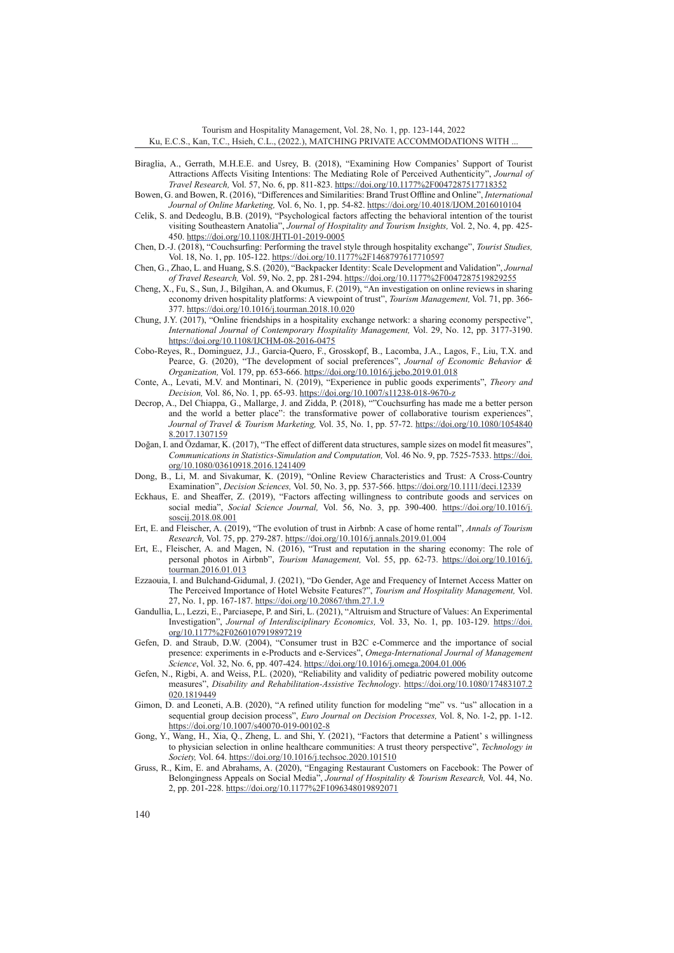Tourism and Hospitality Management, Vol. 28, No. 1, pp. 123-144, 2022 Ku, E.C.S., Kan, T.C., Hsieh, C.L., (2022.), MATCHING PRIVATE ACCOMMODATIONS WITH ...

- Biraglia, A., Gerrath, M.H.E.E. and Usrey, B. (2018), "Examining How Companies' Support of Tourist Attractions Affects Visiting Intentions: The Mediating Role of Perceived Authenticity", *Journal of Travel Research,* Vol. 57, No. 6, pp. 811-823. <https://doi.org/10.1177%2F0047287517718352>
- Bowen, G. and Bowen, R. (2016), "Differences and Similarities: Brand Trust Offline and Online", *International Journal of Online Marketing,* Vol. 6, No. 1, pp. 54-82. <https://doi.org/10.4018/IJOM.2016010104>
- Celik, S. and Dedeoglu, B.B. (2019), "Psychological factors affecting the behavioral intention of the tourist visiting Southeastern Anatolia", *Journal of Hospitality and Tourism Insights,* Vol. 2, No. 4, pp. 425- 450.<https://doi.org/10.1108/JHTI-01-2019-0005>
- Chen, D.-J. (2018), "Couchsurfing: Performing the travel style through hospitality exchange", *Tourist Studies,* Vol. 18, No. 1, pp. 105-122.<https://doi.org/10.1177%2F1468797617710597>
- Chen, G., Zhao, L. and Huang, S.S. (2020), "Backpacker Identity: Scale Development and Validation", *Journal of Travel Research,* Vol. 59, No. 2, pp. 281-294.<https://doi.org/10.1177%2F0047287519829255>
- Cheng, X., Fu, S., Sun, J., Bilgihan, A. and Okumus, F. (2019), "An investigation on online reviews in sharing economy driven hospitality platforms: A viewpoint of trust", *Tourism Management,* Vol. 71, pp. 366- 377.<https://doi.org/10.1016/j.tourman.2018.10.020>
- Chung, J.Y. (2017), "Online friendships in a hospitality exchange network: a sharing economy perspective", *International Journal of Contemporary Hospitality Management,* Vol. 29, No. 12, pp. 3177-3190. <https://doi.org/10.1108/IJCHM-08-2016-0475>
- Cobo-Reyes, R., Dominguez, J.J., Garcia-Quero, F., Grosskopf, B., Lacomba, J.A., Lagos, F., Liu, T.X. and Pearce, G. (2020), "The development of social preferences", *Journal of Economic Behavior & Organization,* Vol. 179, pp. 653-666. <https://doi.org/10.1016/j.jebo.2019.01.018>
- Conte, A., Levati, M.V. and Montinari, N. (2019), "Experience in public goods experiments", *Theory and Decision,* Vol. 86, No. 1, pp. 65-93. <https://doi.org/10.1007/s11238-018-9670-z>
- Decrop, A., Del Chiappa, G., Mallarge, J. and Zidda, P. (2018), ""Couchsurfing has made me a better person and the world a better place": the transformative power of collaborative tourism experiences", *Journal of Travel & Tourism Marketing,* Vol. 35, No. 1, pp. 57-72. [https://doi.org/10.1080/1054840](https://doi.org/10.1080/10548408.2017.1307159) [8.2017.1307159](https://doi.org/10.1080/10548408.2017.1307159)
- Doğan, I. and [Ö](https://www.tandfonline.com/author/%C3%96zdamar%2C+Kazim)zdamar, K. (2017), "The effect of different data structures, sample sizes on model fit measures", *Communications in Statistics-Simulation and Computation,* Vol. 46 No. 9, pp. 7525-7533. [https://doi.](https://doi.org/10.1080/03610918.2016.1241409) [org/10.1080/03610918.2016.1241409](https://doi.org/10.1080/03610918.2016.1241409)
- Dong, B., Li, M. and Sivakumar, K. (2019), "Online Review Characteristics and Trust: A Cross-Country Examination", *Decision Sciences,* Vol. 50, No. 3, pp. 537-566. <https://doi.org/10.1111/deci.12339>
- Eckhaus, E. and Sheaffer, Z. (2019), "Factors affecting willingness to contribute goods and services on social media", *Social Science Journal,* Vol. 56, No. 3, pp. 390-400. [https://doi.org/10.1016/j.](https://doi.org/10.1016/j.soscij.2018.08.001) [soscij.2018.08.001](https://doi.org/10.1016/j.soscij.2018.08.001)
- Ert, E. and Fleischer, A. (2019), "The evolution of trust in Airbnb: A case of home rental", *Annals of Tourism Research,* Vol. 75, pp. 279-287.<https://doi.org/10.1016/j.annals.2019.01.004>
- Ert, E., Fleischer, A. and Magen, N. (2016), "Trust and reputation in the sharing economy: The role of personal photos in Airbnb", *Tourism Management,* Vol. 55, pp. 62-73. [https://doi.org/10.1016/j.](https://doi.org/10.1016/j.tourman.2016.01.013) [tourman.2016.01.013](https://doi.org/10.1016/j.tourman.2016.01.013)
- Ezzaouia, I. and Bulchand-Gidumal, J. (2021), "Do Gender, Age and Frequency of Internet Access Matter on The Perceived Importance of Hotel Website Features?", *Tourism and Hospitality Management,* Vol. 27, No. 1, pp. 167-187.<https://doi.org/10.20867/thm.27.1.9>
- Gandullia, L., Lezzi, E., Parciasepe, P. and Siri, L. (2021), "Altruism and Structure of Values: An Experimental Investigation", *Journal of Interdisciplinary Economics,* Vol. 33, No. 1, pp. 103-129. [https://doi.](https://doi.org/10.1177%2F0260107919897219) [org/10.1177%2F0260107919897219](https://doi.org/10.1177%2F0260107919897219)
- Gefen, D. and Straub, D.W. (2004), "Consumer trust in B2C e-Commerce and the importance of social presence: experiments in e-Products and e-Services", *Omega-International Journal of Management Science*, Vol. 32, No. 6, pp. 407-424. <https://doi.org/10.1016/j.omega.2004.01.006>
- Gefen, N., Rigbi, A. and Weiss, P.L. (2020), "Reliability and validity of pediatric powered mobility outcome measures", *Disability and Rehabilitation-Assistive Technology*. [https://doi.org/10.1080/17483107.2](https://doi.org/10.1080/17483107.2020.1819449) [020.1819449](https://doi.org/10.1080/17483107.2020.1819449)
- Gimon, D. and Leoneti, A.B. (2020), "A refined utility function for modeling "me" vs. "us" allocation in a sequential group decision process", *Euro Journal on Decision Processes,* Vol. 8, No. 1-2, pp. 1-12. <https://doi.org/10.1007/s40070-019-00102-8>
- Gong, Y., Wang, H., Xia, Q., Zheng, L. and Shi, Y. (2021), "Factors that determine a Patient' s willingness to physician selection in online healthcare communities: A trust theory perspective", *Technology in Society,* Vol. 64. <https://doi.org/10.1016/j.techsoc.2020.101510>
- Gruss, R., Kim, E. and Abrahams, A. (2020), "Engaging Restaurant Customers on Facebook: The Power of Belongingness Appeals on Social Media", *Journal of Hospitality & Tourism Research,* Vol. 44, No. 2, pp. 201-228. <https://doi.org/10.1177%2F1096348019892071>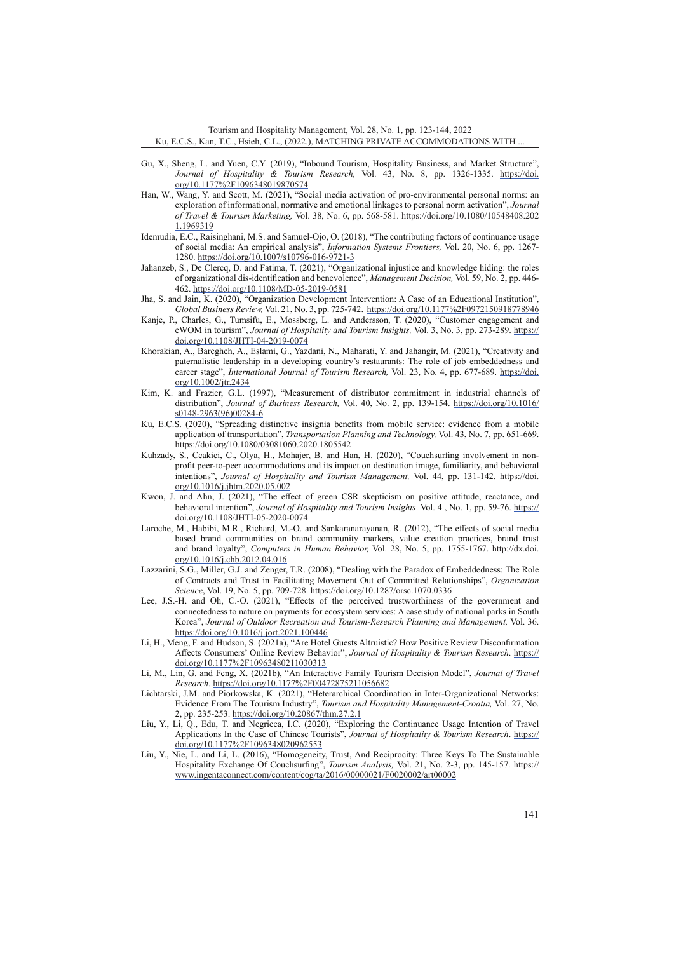Tourism and Hospitality Management, Vol. 28, No. 1, pp. 123-144, 2022 Ku, E.C.S., Kan, T.C., Hsieh, C.L., (2022.), MATCHING PRIVATE ACCOMMODATIONS WITH ...

- Gu, X., Sheng, L. and Yuen, C.Y. (2019), "Inbound Tourism, Hospitality Business, and Market Structure", *Journal of Hospitality & Tourism Research,* Vol. 43, No. 8, pp. 1326-1335. [https://doi.](https://doi.org/10.1177%2F1096348019870574) [org/10.1177%2F1096348019870574](https://doi.org/10.1177%2F1096348019870574)
- Han, W., Wang, Y. and Scott, M. (2021), "Social media activation of pro-environmental personal norms: an exploration of informational, normative and emotional linkages to personal norm activation", *Journal of Travel & Tourism Marketing,* Vol. 38, No. 6, pp. 568-581. [https://doi.org/10.1080/10548408.202](https://doi.org/10.1080/10548408.2021.1969319) [1.1969319](https://doi.org/10.1080/10548408.2021.1969319)
- Idemudia, E.C., Raisinghani, M.S. and Samuel-Ojo, O. (2018), "The contributing factors of continuance usage of social media: An empirical analysis", *Information Systems Frontiers,* Vol. 20, No. 6, pp. 1267- 1280. <https://doi.org/10.1007/s10796-016-9721-3>
- Jahanzeb, S., De Clercq, D. and Fatima, T. (2021), "Organizational injustice and knowledge hiding: the roles of organizational dis-identification and benevolence", *Management Decision,* Vol. 59, No. 2, pp. 446- 462. <https://doi.org/10.1108/MD-05-2019-0581>
- Jha, S. and Jain, K. (2020), "Organization Development Intervention: A Case of an Educational Institution", *Global Business Review,* Vol. 21, No. 3, pp. 725-742. <https://doi.org/10.1177%2F0972150918778946>
- Kanje, P., Charles, G., Tumsifu, E., Mossberg, L. and Andersson, T. (2020), "Customer engagement and eWOM in tourism", *Journal of Hospitality and Tourism Insights,* Vol. 3, No. 3, pp. 273-289. [https://](https://doi.org/10.1108/JHTI-04-2019-0074) [doi.org/10.1108/JHTI-04-2019-0074](https://doi.org/10.1108/JHTI-04-2019-0074)
- Khorakian, A., Baregheh, A., Eslami, G., Yazdani, N., Maharati, Y. and Jahangir, M. (2021), "Creativity and paternalistic leadership in a developing country's restaurants: The role of job embeddedness and career stage", *International Journal of Tourism Research,* Vol. 23, No. 4, pp. 677-689. [https://doi.](https://doi.org/10.1002/jtr.2434) [org/10.1002/jtr.2434](https://doi.org/10.1002/jtr.2434)
- Kim, K. and Frazier, G.L. (1997), "Measurement of distributor commitment in industrial channels of distribution", *Journal of Business Research*, Vol. 40, No. 2, pp. 139-154. [https://doi.org/10.1016/](https://doi.org/10.1016/s0148-2963(96)00284-6) [s0148-2963\(96\)00284-6](https://doi.org/10.1016/s0148-2963(96)00284-6)
- Ku, E.C.S. (2020), "Spreading distinctive insignia benefits from mobile service: evidence from a mobile application of transportation", *Transportation Planning and Technology,* Vol. 43, No. 7, pp. 651-669. <https://doi.org/10.1080/03081060.2020.1805542>
- Kuhzady, S., Ccakici, C., Olya, H., Mohajer, B. and Han, H. (2020), "Couchsurfing involvement in nonprofit peer-to-peer accommodations and its impact on destination image, familiarity, and behavioral intentions", *Journal of Hospitality and Tourism Management,* Vol. 44, pp. 131-142. [https://doi.](https://doi.org/10.1016/j.jhtm.2020.05.002) [org/10.1016/j.jhtm.2020.05.002](https://doi.org/10.1016/j.jhtm.2020.05.002)
- Kwon, J. and Ahn, J. (2021), "The effect of green CSR skepticism on positive attitude, reactance, and behavioral intention", *Journal of Hospitality and Tourism Insights*. Vol. 4 , No. 1, pp. 59-76. [https://](https://doi.org/10.1108/JHTI-05-2020-0074) [doi.org/10.1108/JHTI-05-2020-0074](https://doi.org/10.1108/JHTI-05-2020-0074)
- Laroche, M., Habibi, M.R., Richard, M.-O. and Sankaranarayanan, R. (2012), "The effects of social media based brand communities on brand community markers, value creation practices, brand trust and brand loyalty", *Computers in Human Behavior,* Vol. 28, No. 5, pp. 1755-1767. [http://dx.doi.](http://dx.doi.org/10.1016/j.chb.2012.04.016) [org/10.1016/j.chb.2012.04.016](http://dx.doi.org/10.1016/j.chb.2012.04.016)
- Lazzarini, S.G., Miller, G.J. and Zenger, T.R. (2008), "Dealing with the Paradox of Embeddedness: The Role of Contracts and Trust in Facilitating Movement Out of Committed Relationships", *Organization Science*, Vol. 19, No. 5, pp. 709-728.<https://doi.org/10.1287/orsc.1070.0336>
- Lee, J.S.-H. and Oh, C.-O. (2021), "Effects of the perceived trustworthiness of the government and connectedness to nature on payments for ecosystem services: A case study of national parks in South Korea", *Journal of Outdoor Recreation and Tourism-Research Planning and Management,* Vol. 36. <https://doi.org/10.1016/j.jort.2021.100446>
- Li, H., Meng, F. and Hudson, S. (2021a), "Are Hotel Guests Altruistic? How Positive Review Disconfirmation Affects Consumers' Online Review Behavior", *Journal of Hospitality & Tourism Research*. [https://](https://doi.org/10.1177%2F10963480211030313) [doi.org/10.1177%2F10963480211030313](https://doi.org/10.1177%2F10963480211030313)
- Li, M., Lin, G. and Feng, X. (2021b), "An Interactive Family Tourism Decision Model", *Journal of Travel Research*.<https://doi.org/10.1177%2F00472875211056682>
- Lichtarski, J.M. and Piorkowska, K. (2021), "Heterarchical Coordination in Inter-Organizational Networks: Evidence From The Tourism Industry", *Tourism and Hospitality Management-Croatia,* Vol. 27, No. 2, pp. 235-253.<https://doi.org/10.20867/thm.27.2.1>
- Liu, Y., Li, Q., Edu, T. and Negricea, I.C. (2020), "Exploring the Continuance Usage Intention of Travel Applications In the Case of Chinese Tourists", *Journal of Hospitality & Tourism Research*. [https://](https://doi.org/10.1177%2F1096348020962553) [doi.org/10.1177%2F1096348020962553](https://doi.org/10.1177%2F1096348020962553)
- Liu, Y., Nie, L. and Li, L. (2016), "Homogeneity, Trust, And Reciprocity: Three Keys To The Sustainable Hospitality Exchange Of Couchsurfing", *Tourism Analysis,* Vol. 21, No. 2-3, pp. 145-157. [https://](https://www.ingentaconnect.com/content/cog/ta/2016/00000021/F0020002/art00002) [www.ingentaconnect.com/content/cog/ta/2016/00000021/F0020002/art00002](https://www.ingentaconnect.com/content/cog/ta/2016/00000021/F0020002/art00002)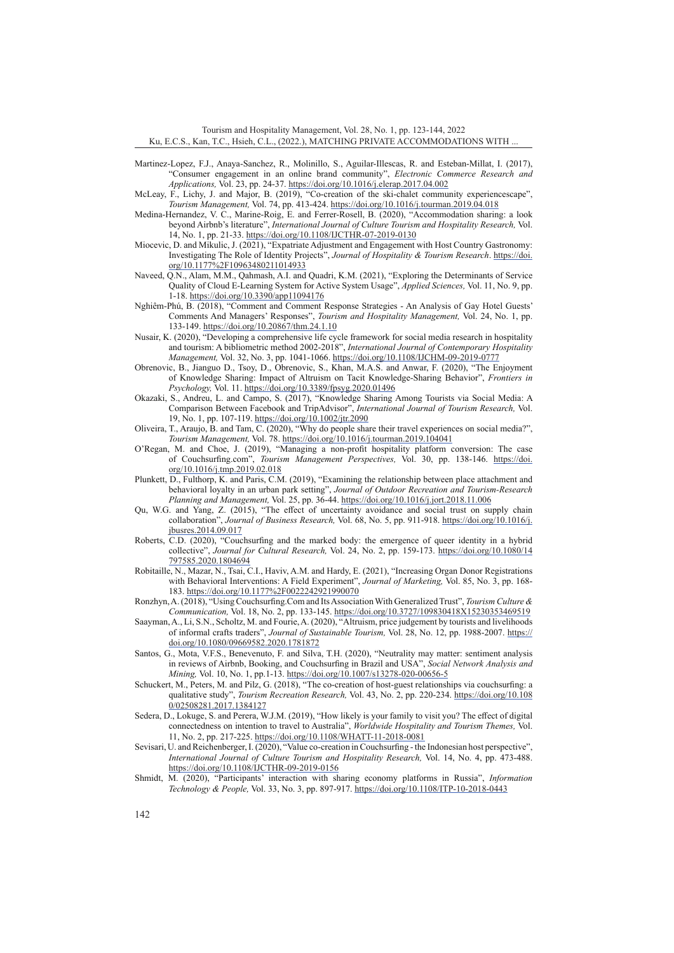Tourism and Hospitality Management, Vol. 28, No. 1, pp. 123-144, 2022 Ku, E.C.S., Kan, T.C., Hsieh, C.L., (2022.), MATCHING PRIVATE ACCOMMODATIONS WITH ...

- Martinez-Lopez, F.J., Anaya-Sanchez, R., Molinillo, S., Aguilar-Illescas, R. and Esteban-Millat, I. (2017), "Consumer engagement in an online brand community", *Electronic Commerce Research and Applications,* Vol. 23, pp. 24-37. <https://doi.org/10.1016/j.elerap.2017.04.002>
- McLeay, F., Lichy, J. and Major, B. (2019), "Co-creation of the ski-chalet community experiencescape", *Tourism Management,* Vol. 74, pp. 413-424.<https://doi.org/10.1016/j.tourman.2019.04.018>
- Medina-Hernandez, V. C., Marine-Roig, E. and Ferrer-Rosell, B. (2020), "Accommodation sharing: a look beyond Airbnb's literature", *International Journal of Culture Tourism and Hospitality Research,* Vol. 14, No. 1, pp. 21-33.<https://doi.org/10.1108/IJCTHR-07-2019-0130>
- Miocevic, D. and Mikulic, J. (2021), "Expatriate Adjustment and Engagement with Host Country Gastronomy: Investigating The Role of Identity Projects", *Journal of Hospitality & Tourism Research*. [https://doi.](https://doi.org/10.1177%2F10963480211014933) [org/10.1177%2F10963480211014933](https://doi.org/10.1177%2F10963480211014933)
- Naveed, Q.N., Alam, M.M., Qahmash, A.I. and Quadri, K.M. (2021), "Exploring the Determinants of Service Quality of Cloud E-Learning System for Active System Usage", *Applied Sciences,* Vol. 11, No. 9, pp. 1-18. <https://doi.org/10.3390/app11094176>
- Nghiêm-Phú, B. (2018), "Comment and Comment Response Strategies An Analysis of Gay Hotel Guests' Comments And Managers' Responses", *Tourism and Hospitality Management,* Vol. 24, No. 1, pp. 133-149. <https://doi.org/10.20867/thm.24.1.10>
- Nusair, K. (2020), "Developing a comprehensive life cycle framework for social media research in hospitality and tourism: A bibliometric method 2002-2018", *International Journal of Contemporary Hospitality Management,* Vol. 32, No. 3, pp. 1041-1066.<https://doi.org/10.1108/IJCHM-09-2019-0777>
- Obrenovic, B., Jianguo D., Tsoy, D., Obrenovic, S., Khan, M.A.S. and Anwar, F. (2020), "The Enjoyment of Knowledge Sharing: Impact of Altruism on Tacit Knowledge-Sharing Behavior", *Frontiers in Psychology,* Vol. 11.<https://doi.org/10.3389/fpsyg.2020.01496>
- Okazaki, S., Andreu, L. and Campo, S. (2017), "Knowledge Sharing Among Tourists via Social Media: A Comparison Between Facebook and TripAdvisor", *International Journal of Tourism Research,* Vol. 19, No. 1, pp. 107-119.<https://doi.org/10.1002/jtr.2090>
- Oliveira, T., Araujo, B. and Tam, C. (2020), "Why do people share their travel experiences on social media?", *Tourism Management,* Vol. 78. <https://doi.org/10.1016/j.tourman.2019.104041>
- O'Regan, M. and Choe, J. (2019), "Managing a non-profit hospitality platform conversion: The case of Couchsurfing.com", *Tourism Management Perspectives,* Vol. 30, pp. 138-146. [https://doi.](https://doi.org/10.1016/j.tmp.2019.02.018) [org/10.1016/j.tmp.2019.02.018](https://doi.org/10.1016/j.tmp.2019.02.018)
- Plunkett, D., Fulthorp, K. and Paris, C.M. (2019), "Examining the relationship between place attachment and behavioral loyalty in an urban park setting", *Journal of Outdoor Recreation and Tourism-Research Planning and Management,* Vol. 25, pp. 36-44. <https://doi.org/10.1016/j.jort.2018.11.006>
- Qu, W.G. and Yang, Z. (2015), "The effect of uncertainty avoidance and social trust on supply chain collaboration", *Journal of Business Research,* Vol. 68, No. 5, pp. 911-918. [https://doi.org/10.1016/j.](https://doi.org/10.1016/j.jbusres.2014.09.017) [jbusres.2014.09.017](https://doi.org/10.1016/j.jbusres.2014.09.017)
- Roberts, C.D. (2020), "Couchsurfing and the marked body: the emergence of queer identity in a hybrid collective", *Journal for Cultural Research,* Vol. 24, No. 2, pp. 159-173. [https://doi.org/10.1080/14](https://doi.org/10.1080/14797585.2020.1804694) [797585.2020.1804694](https://doi.org/10.1080/14797585.2020.1804694)
- Robitaille, N., Mazar, N., Tsai, C.I., Haviv, A.M. and Hardy, E. (2021), "Increasing Organ Donor Registrations with Behavioral Interventions: A Field Experiment", *Journal of Marketing,* Vol. 85, No. 3, pp. 168- 183.<https://doi.org/10.1177%2F0022242921990070>
- Ronzhyn, A. (2018), "Using Couchsurfing.Com and Its Association With Generalized Trust", *Tourism Culture & Communication,* Vol. 18, No. 2, pp. 133-145.<https://doi.org/10.3727/109830418X15230353469519>
- Saayman, A., Li, S.N., Scholtz, M. and Fourie, A. (2020), "Altruism, price judgement by tourists and livelihoods of informal crafts traders", *Journal of Sustainable Tourism,* Vol. 28, No. 12, pp. 1988-2007. [https://](https://doi.org/10.1080/09669582.2020.1781872) [doi.org/10.1080/09669582.2020.1781872](https://doi.org/10.1080/09669582.2020.1781872)
- Santos, G., Mota, V.F.S., Benevenuto, F. and Silva, T.H. (2020), "Neutrality may matter: sentiment analysis in reviews of Airbnb, Booking, and Couchsurfing in Brazil and USA", *Social Network Analysis and Mining,* Vol. 10, No. 1, pp.1-13.<https://doi.org/10.1007/s13278-020-00656-5>
- Schuckert, M., Peters, M. and Pilz, G. (2018), "The co-creation of host-guest relationships via couchsurfing: a qualitative study", *Tourism Recreation Research,* Vol. 43, No. 2, pp. 220-234. [https://doi.org/10.108](https://doi.org/10.1080/02508281.2017.1384127) [0/02508281.2017.1384127](https://doi.org/10.1080/02508281.2017.1384127)
- Sedera, D., Lokuge, S. and Perera, W.J.M. (2019), "How likely is your family to visit you? The effect of digital connectedness on intention to travel to Australia", *Worldwide Hospitality and Tourism Themes,* Vol. 11, No. 2, pp. 217-225.<https://doi.org/10.1108/WHATT-11-2018-0081>
- Sevisari, U. and Reichenberger, I. (2020), "Value co-creation in Couchsurfing the Indonesian host perspective", *International Journal of Culture Tourism and Hospitality Research,* Vol. 14, No. 4, pp. 473-488. <https://doi.org/10.1108/IJCTHR-09-2019-0156>
- Shmidt, M. (2020), "Participants' interaction with sharing economy platforms in Russia", *Information Technology & People,* Vol. 33, No. 3, pp. 897-917.<https://doi.org/10.1108/ITP-10-2018-0443>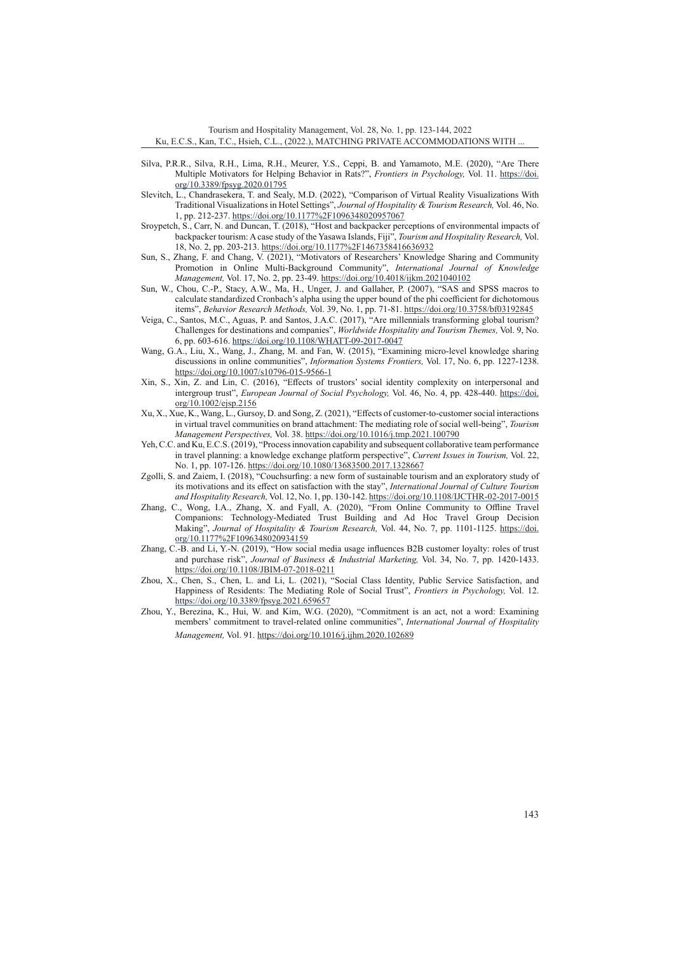Tourism and Hospitality Management, Vol. 28, No. 1, pp. 123-144, 2022 Ku, E.C.S., Kan, T.C., Hsieh, C.L., (2022.), MATCHING PRIVATE ACCOMMODATIONS WITH ...

- Silva, P.R.R., Silva, R.H., Lima, R.H., Meurer, Y.S., Ceppi, B. and Yamamoto, M.E. (2020), "Are There Multiple Motivators for Helping Behavior in Rats?", *Frontiers in Psychology,* Vol. 11. [https://doi.](https://doi.org/10.3389/fpsyg.2020.01795) [org/10.3389/fpsyg.2020.01795](https://doi.org/10.3389/fpsyg.2020.01795)
- Slevitch, L., Chandrasekera, T. and Sealy, M.D. (2022), "Comparison of Virtual Reality Visualizations With Traditional Visualizations in Hotel Settings", *Journal of Hospitality & Tourism Research,* Vol. 46, No. 1, pp. 212-237.<https://doi.org/10.1177%2F1096348020957067>
- Sroypetch, S., Carr, N. and Duncan, T. (2018), "Host and backpacker perceptions of environmental impacts of backpacker tourism: A case study of the Yasawa Islands, Fiji", *Tourism and Hospitality Research,* Vol. 18, No. 2, pp. 203-213.<https://doi.org/10.1177%2F1467358416636932>
- Sun, S., Zhang, F. and Chang, V. (2021), "Motivators of Researchers' Knowledge Sharing and Community Promotion in Online Multi-Background Community", *International Journal of Knowledge Management,* Vol. 17, No. 2, pp. 23-49. <https://doi.org/10.4018/ijkm.2021040102>
- Sun, W., Chou, C.-P., Stacy, A.W., Ma, H., Unger, J. and Gallaher, P. (2007), "SAS and SPSS macros to calculate standardized Cronbach's alpha using the upper bound of the phi coefficient for dichotomous items", *Behavior Research Methods,* Vol. 39, No. 1, pp. 71-81.<https://doi.org/10.3758/bf03192845>
- Veiga, C., Santos, M.C., Aguas, P. and Santos, J.A.C. (2017), "Are millennials transforming global tourism? Challenges for destinations and companies", *Worldwide Hospitality and Tourism Themes,* Vol. 9, No. 6, pp. 603-616.<https://doi.org/10.1108/WHATT-09-2017-0047>
- Wang, G.A., Liu, X., Wang, J., Zhang, M. and Fan, W. (2015), "Examining micro-level knowledge sharing discussions in online communities", *Information Systems Frontiers,* Vol. 17, No. 6, pp. 1227-1238. <https://doi.org/10.1007/s10796-015-9566-1>
- Xin, S., Xin, Z. and Lin, C. (2016), "Effects of trustors' social identity complexity on interpersonal and intergroup trust", *European Journal of Social Psychology,* Vol. 46, No. 4, pp. 428-440. [https://doi.](https://doi.org/10.1002/ejsp.2156) [org/10.1002/ejsp.2156](https://doi.org/10.1002/ejsp.2156)
- Xu, X., Xue, K., Wang, L., Gursoy, D. and Song, Z. (2021), "Effects of customer-to-customer social interactions in virtual travel communities on brand attachment: The mediating role of social well-being", *Tourism Management Perspectives,* Vol. 38. <https://doi.org/10.1016/j.tmp.2021.100790>
- Yeh, C.C. and Ku, E.C.S. (2019), "Process innovation capability and subsequent collaborative team performance in travel planning: a knowledge exchange platform perspective", *Current Issues in Tourism,* Vol. 22, No. 1, pp. 107-126.<https://doi.org/10.1080/13683500.2017.1328667>
- Zgolli, S. and Zaiem, I. (2018), "Couchsurfing: a new form of sustainable tourism and an exploratory study of its motivations and its effect on satisfaction with the stay", *International Journal of Culture Tourism and Hospitality Research,* Vol. 12, No. 1, pp. 130-142.<https://doi.org/10.1108/IJCTHR-02-2017-0015>
- Zhang, C., Wong, I.A., Zhang, X. and Fyall, A. (2020), "From Online Community to Offline Travel Companions: Technology-Mediated Trust Building and Ad Hoc Travel Group Decision Making", *Journal of Hospitality & Tourism Research,* Vol. 44, No. 7, pp. 1101-1125. [https://doi.](https://doi.org/10.1177%2F1096348020934159) [org/10.1177%2F1096348020934159](https://doi.org/10.1177%2F1096348020934159)
- Zhang, C.-B. and Li, Y.-N. (2019), "How social media usage influences B2B customer loyalty: roles of trust and purchase risk", *Journal of Business & Industrial Marketing,* Vol. 34, No. 7, pp. 1420-1433. <https://doi.org/10.1108/JBIM-07-2018-0211>
- Zhou, X., Chen, S., Chen, L. and Li, L. (2021), "Social Class Identity, Public Service Satisfaction, and Happiness of Residents: The Mediating Role of Social Trust", *Frontiers in Psychology,* Vol. 12. <https://doi.org/10.3389/fpsyg.2021.659657>
- Zhou, Y., Berezina, K., Hui, W. and Kim, W.G. (2020), "Commitment is an act, not a word: Examining members' commitment to travel-related online communities", *International Journal of Hospitality Management,* Vol. 91.<https://doi.org/10.1016/j.ijhm.2020.102689>